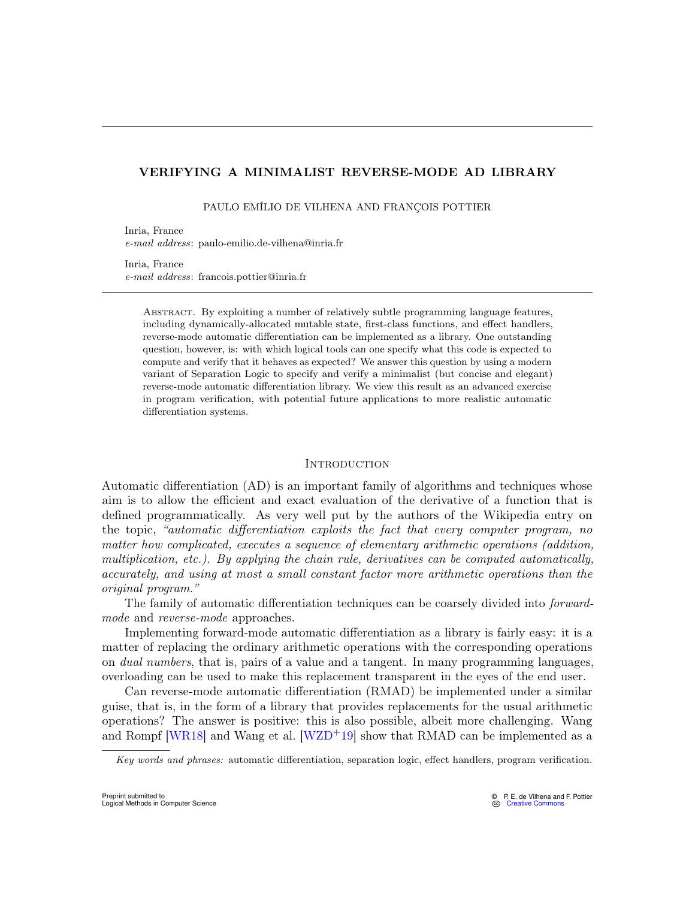# VERIFYING A MINIMALIST REVERSE-MODE AD LIBRARY

PAULO EMÍLIO DE VILHENA AND FRANÇOIS POTTIER

Inria, France e-mail address: paulo-emilio.de-vilhena@inria.fr

Inria, France e-mail address: francois.pottier@inria.fr

Abstract. By exploiting a number of relatively subtle programming language features, including dynamically-allocated mutable state, first-class functions, and effect handlers, reverse-mode automatic differentiation can be implemented as a library. One outstanding question, however, is: with which logical tools can one specify what this code is expected to compute and verify that it behaves as expected? We answer this question by using a modern variant of Separation Logic to specify and verify a minimalist (but concise and elegant) reverse-mode automatic differentiation library. We view this result as an advanced exercise in program verification, with potential future applications to more realistic automatic differentiation systems.

### **INTRODUCTION**

Automatic differentiation (AD) is an important family of algorithms and techniques whose aim is to allow the efficient and exact evaluation of the derivative of a function that is defined programmatically. As very well put by the authors of the Wikipedia entry on the topic, "automatic differentiation exploits the fact that every computer program, no matter how complicated, executes a sequence of elementary arithmetic operations (addition, multiplication, etc.). By applying the chain rule, derivatives can be computed automatically, accurately, and using at most a small constant factor more arithmetic operations than the original program."

The family of automatic differentiation techniques can be coarsely divided into forwardmode and reverse-mode approaches.

Implementing forward-mode automatic differentiation as a library is fairly easy: it is a matter of replacing the ordinary arithmetic operations with the corresponding operations on dual numbers, that is, pairs of a value and a tangent. In many programming languages, overloading can be used to make this replacement transparent in the eyes of the end user.

Can reverse-mode automatic differentiation (RMAD) be implemented under a similar guise, that is, in the form of a library that provides replacements for the usual arithmetic operations? The answer is positive: this is also possible, albeit more challenging. Wang and Rompf [\[WR18\]](#page-30-0) and Wang et al. [\[WZD](#page-30-1)<sup>+19]</sup> show that RMAD can be implemented as a

Key words and phrases: automatic differentiation, separation logic, effect handlers, program verification.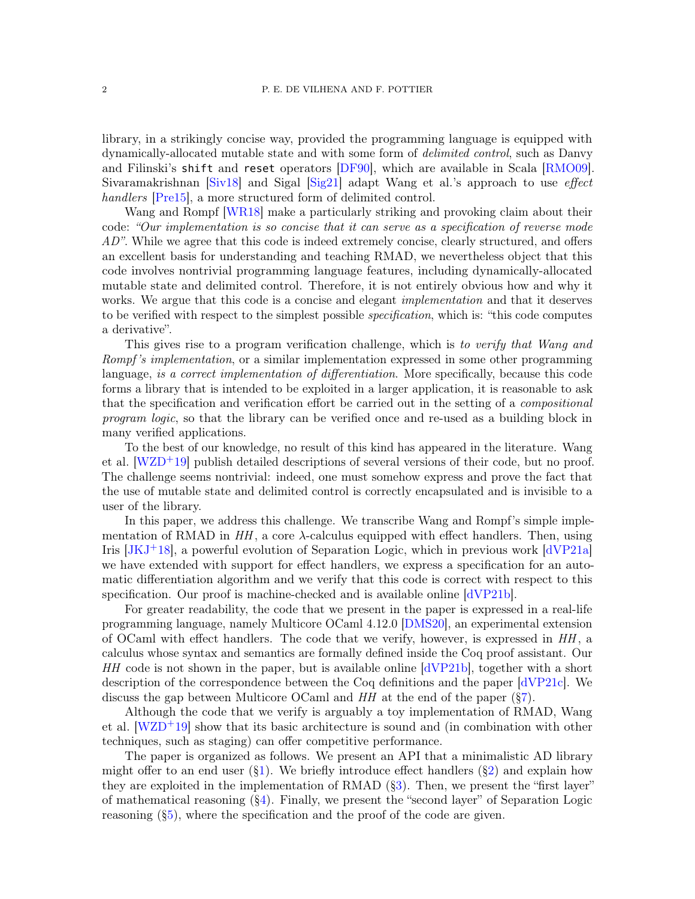library, in a strikingly concise way, provided the programming language is equipped with dynamically-allocated mutable state and with some form of delimited control, such as Danvy and Filinski's shift and reset operators [\[DF90\]](#page-29-0), which are available in Scala [\[RMO09\]](#page-30-2). Sivaramakrishnan  $\left[\frac{\text{Siv18}}{\text{Siv18}}\right]$  and Sigal  $\left[\frac{\text{Sig21}}{\text{Sig21}}\right]$  adapt Wang et al.'s approach to use *effect* handlers Pre15, a more structured form of delimited control.

Wang and Rompf [\[WR18\]](#page-30-0) make a particularly striking and provoking claim about their code: "Our implementation is so concise that it can serve as a specification of reverse mode  $AD$ ". While we agree that this code is indeed extremely concise, clearly structured, and offers an excellent basis for understanding and teaching RMAD, we nevertheless object that this code involves nontrivial programming language features, including dynamically-allocated mutable state and delimited control. Therefore, it is not entirely obvious how and why it works. We argue that this code is a concise and elegant *implementation* and that it deserves to be verified with respect to the simplest possible specification, which is: "this code computes a derivative".

This gives rise to a program verification challenge, which is to verify that Wang and Rompf's implementation, or a similar implementation expressed in some other programming language, is a correct implementation of differentiation. More specifically, because this code forms a library that is intended to be exploited in a larger application, it is reasonable to ask that the specification and verification effort be carried out in the setting of a compositional program logic, so that the library can be verified once and re-used as a building block in many verified applications.

To the best of our knowledge, no result of this kind has appeared in the literature. Wang et al.  $[WZD^+19]$  $[WZD^+19]$  publish detailed descriptions of several versions of their code, but no proof. The challenge seems nontrivial: indeed, one must somehow express and prove the fact that the use of mutable state and delimited control is correctly encapsulated and is invisible to a user of the library.

In this paper, we address this challenge. We transcribe Wang and Rompf's simple implementation of RMAD in  $HH$ , a core  $\lambda$ -calculus equipped with effect handlers. Then, using Iris  $JKJ+18$ , a powerful evolution of Separation Logic, which in previous work  $\text{dVP21a}$ we have extended with support for effect handlers, we express a specification for an automatic differentiation algorithm and we verify that this code is correct with respect to this specification. Our proof is machine-checked and is available online [\[dVP21b\]](#page-29-3).

For greater readability, the code that we present in the paper is expressed in a real-life programming language, namely Multicore OCaml 4.12.0 [\[DMS20\]](#page-29-4), an experimental extension of OCaml with effect handlers. The code that we verify, however, is expressed in  $HH$ , a calculus whose syntax and semantics are formally defined inside the Coq proof assistant. Our  $HH$  code is not shown in the paper, but is available online  $\frac{dVP21b}{dt}$ , together with a short description of the correspondence between the Coq definitions and the paper [\[dVP21c\]](#page-29-5). We discuss the gap between Multicore OCaml and  $HH$  at the end of the paper ( $\S7$ ).

Although the code that we verify is arguably a toy implementation of RMAD, Wang et al. [\[WZD](#page-30-1)+19] show that its basic architecture is sound and (in combination with other techniques, such as staging) can offer competitive performance.

The paper is organized as follows. We present an API that a minimalistic AD library might offer to an end user  $(\S1)$ . We briefly introduce effect handlers  $(\S2)$  and explain how they are exploited in the implementation of RMAD ([§3\)](#page-6-0). Then, we present the "first layer" of mathematical reasoning  $(\S4)$ . Finally, we present the "second layer" of Separation Logic reasoning  $(\S_5)$ , where the specification and the proof of the code are given.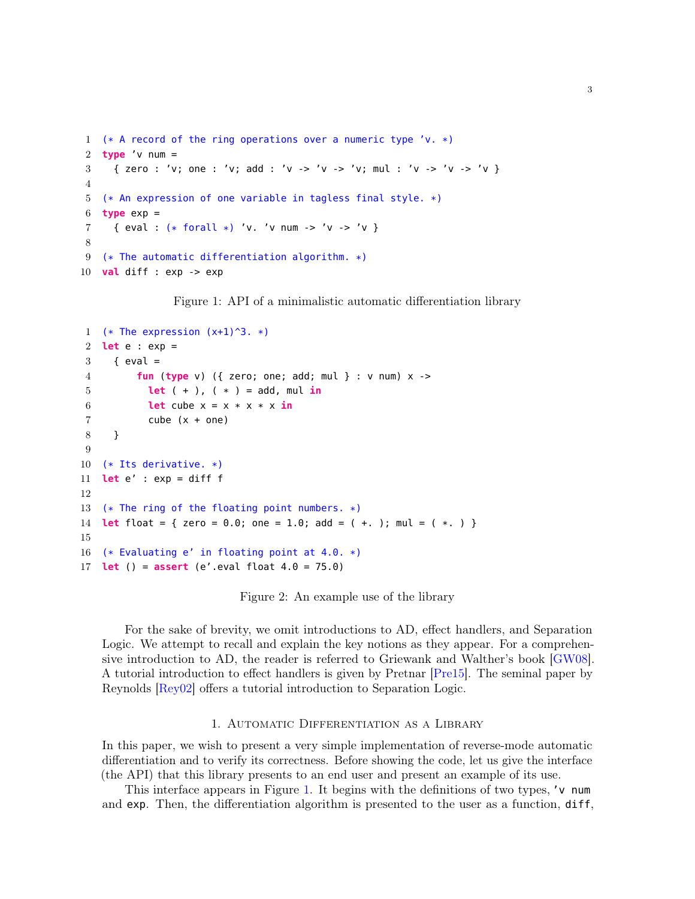```
1 (* A record of the ring operations over a numeric type 'v. *)
2 type 'v num =
3 { zero : 'v; one : 'v; add : 'v -> 'v -> 'v; mul : 'v -> 'v -> 'v }
4
5 (* An expression of one variable in tagless final style. *)
6 type exp =7 { eval : (* forall *) 'v. 'v num -> 'v -> 'v }
8
9 (* The automatic differentiation algorithm. *)
10 val diff : exp -> exp
```
<span id="page-2-1"></span>Figure 1: API of a minimalistic automatic differentiation library

```
1 (* The expression (x+1)^3. *)
2 let e : exp =
3 \qquad \{ \text{eval} =4 fun (type v) ({ zero; one; add; mul } : v num) x ->
5 let ( + ), ( * ) = add, mul in
6 let cube x = x * x * x in
7 cube (x + one)
8 }
9
10 (* Its derivative. *)
11 let e' : exp = diff f
12
13 (* The ring of the floating point numbers. *)
14 let float = { zero = 0.0; one = 1.0; add = ( +. ); mul = ( *. ) }
15
16 (* Evaluating e' in floating point at 4.0. *)
17 let () = assert (e'.eval float 4.0 = 75.0)
```
<span id="page-2-3"></span>Figure 2: An example use of the library

<span id="page-2-9"></span>For the sake of brevity, we omit introductions to AD, effect handlers, and Separation Logic. We attempt to recall and explain the key notions as they appear. For a comprehensive introduction to AD, the reader is referred to Griewank and Walther's book [\[GW08\]](#page-29-6). A tutorial introduction to effect handlers is given by Pretnar [\[Pre15\]](#page-30-5). The seminal paper by Reynolds [\[Rey02\]](#page-30-6) offers a tutorial introduction to Separation Logic.

### 1. Automatic Differentiation as a Library

<span id="page-2-0"></span>In this paper, we wish to present a very simple implementation of reverse-mode automatic differentiation and to verify its correctness. Before showing the code, let us give the interface (the API) that this library presents to an end user and present an example of its use.

This interface appears in Figure [1.](#page-2-1) It begins with the definitions of two types, 'v num and exp. Then, the differentiation algorithm is presented to the user as a function, diff,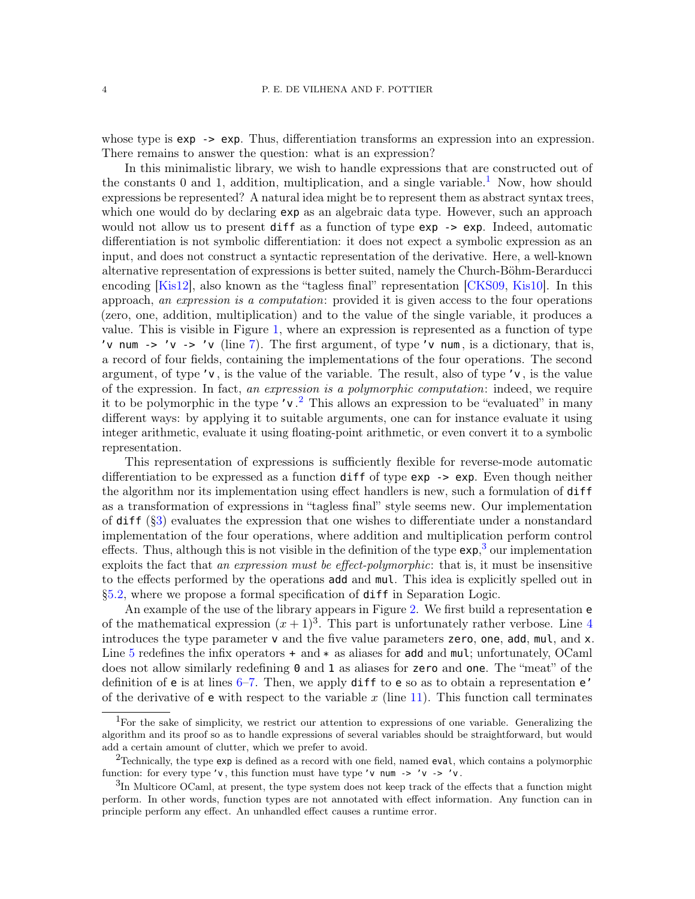whose type is  $exp -\geq exp$ . Thus, differentiation transforms an expression into an expression. There remains to answer the question: what is an expression?

In this minimalistic library, we wish to handle expressions that are constructed out of the constants 0 and [1](#page-3-0), addition, multiplication, and a single variable.<sup>1</sup> Now, how should expressions be represented? A natural idea might be to represent them as abstract syntax trees, which one would do by declaring  $exp$  as an algebraic data type. However, such an approach would not allow us to present **diff** as a function of type **exp**  $\rightarrow$  **exp**. Indeed, automatic differentiation is not symbolic differentiation: it does not expect a symbolic expression as an input, and does not construct a syntactic representation of the derivative. Here, a well-known alternative representation of expressions is better suited, namely the Church-Böhm-Berarducci encoding [\[Kis12\]](#page-29-7), also known as the "tagless final" representation [\[CKS09,](#page-28-0) [Kis10\]](#page-29-8). In this approach, an expression is a computation: provided it is given access to the four operations (zero, one, addition, multiplication) and to the value of the single variable, it produces a value. This is visible in Figure [1,](#page-2-1) where an expression is represented as a function of type 'v num -> 'v -> 'v (line [7\)](#page-2-2). The first argument, of type 'v num, is a dictionary, that is, a record of four fields, containing the implementations of the four operations. The second argument, of type 'v , is the value of the variable. The result, also of type 'v , is the value of the expression. In fact, an expression is a polymorphic computation: indeed, we require it to be polymorphic in the type  $'v^2$  $'v^2$ . This allows an expression to be "evaluated" in many different ways: by applying it to suitable arguments, one can for instance evaluate it using integer arithmetic, evaluate it using floating-point arithmetic, or even convert it to a symbolic representation.

This representation of expressions is sufficiently flexible for reverse-mode automatic differentiation to be expressed as a function diff of type exp -> exp. Even though neither the algorithm nor its implementation using effect handlers is new, such a formulation of diff as a transformation of expressions in "tagless final" style seems new. Our implementation of  $diff (§3)$  $diff (§3)$  evaluates the expression that one wishes to differentiate under a nonstandard implementation of the four operations, where addition and multiplication perform control effects. Thus, although this is not visible in the definition of the type  $\exp$ ,<sup>[3](#page-3-2)</sup> our implementation exploits the fact that an expression must be effect-polymorphic: that is, it must be insensitive to the effects performed by the operations add and mul. This idea is explicitly spelled out in [§5.2,](#page-15-0) where we propose a formal specification of diff in Separation Logic.

An example of the use of the library appears in Figure [2.](#page-2-3) We first build a representation e of the mathematical expression  $(x + 1)^3$ . This part is unfortunately rather verbose. Line [4](#page-2-4) introduces the type parameter  $v$  and the five value parameters zero, one, add, mul, and  $x$ . Line [5](#page-2-5) redefines the infix operators  $+$  and  $*$  as aliases for **add** and **mul**; unfortunately, OCaml does not allow similarly redefining 0 and 1 as aliases for zero and one. The "meat" of the definition of  $e$  is at lines  $6-7$ . Then, we apply diff to  $e$  so as to obtain a representation  $e'$ of the derivative of **e** with respect to the variable x (line [11\)](#page-2-8). This function call terminates

<span id="page-3-0"></span><sup>1</sup>For the sake of simplicity, we restrict our attention to expressions of one variable. Generalizing the algorithm and its proof so as to handle expressions of several variables should be straightforward, but would add a certain amount of clutter, which we prefer to avoid.

<span id="page-3-1"></span><sup>&</sup>lt;sup>2</sup>Technically, the type  $exp$  is defined as a record with one field, named  $eval$ , which contains a polymorphic function: for every type 'v, this function must have type 'v num -> 'v -> 'v.

<span id="page-3-2"></span> ${}^{3}\text{In Multicore OCam, at present, the type system does not keep track of the effects that a function might$ perform. In other words, function types are not annotated with effect information. Any function can in principle perform any effect. An unhandled effect causes a runtime error.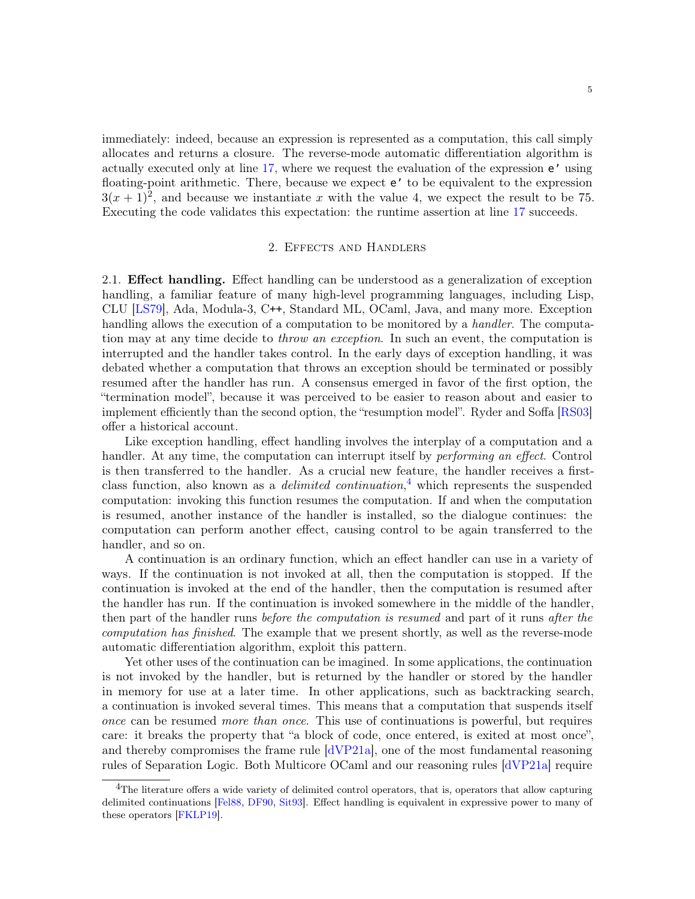immediately: indeed, because an expression is represented as a computation, this call simply allocates and returns a closure. The reverse-mode automatic differentiation algorithm is actually executed only at line [17,](#page-2-9) where we request the evaluation of the expression e' using floating-point arithmetic. There, because we expect e' to be equivalent to the expression  $3(x+1)^2$ , and because we instantiate x with the value 4, we expect the result to be 75. Executing the code validates this expectation: the runtime assertion at line [17](#page-2-9) succeeds.

### 2. Effects and Handlers

<span id="page-4-0"></span>2.1. Effect handling. Effect handling can be understood as a generalization of exception handling, a familiar feature of many high-level programming languages, including Lisp, CLU [\[LS79\]](#page-29-9), Ada, Modula-3, C++, Standard ML, OCaml, Java, and many more. Exception handling allows the execution of a computation to be monitored by a *handler*. The computation may at any time decide to *throw an exception*. In such an event, the computation is interrupted and the handler takes control. In the early days of exception handling, it was debated whether a computation that throws an exception should be terminated or possibly resumed after the handler has run. A consensus emerged in favor of the first option, the "termination model", because it was perceived to be easier to reason about and easier to implement efficiently than the second option, the "resumption model". Ryder and Soffa [\[RS03\]](#page-30-7) offer a historical account.

Like exception handling, effect handling involves the interplay of a computation and a handler. At any time, the computation can interrupt itself by *performing an effect*. Control is then transferred to the handler. As a crucial new feature, the handler receives a firstclass function, also known as a *delimited continuation*,<sup>[4](#page-4-1)</sup> which represents the suspended computation: invoking this function resumes the computation. If and when the computation is resumed, another instance of the handler is installed, so the dialogue continues: the computation can perform another effect, causing control to be again transferred to the handler, and so on.

A continuation is an ordinary function, which an effect handler can use in a variety of ways. If the continuation is not invoked at all, then the computation is stopped. If the continuation is invoked at the end of the handler, then the computation is resumed after the handler has run. If the continuation is invoked somewhere in the middle of the handler, then part of the handler runs before the computation is resumed and part of it runs after the computation has finished. The example that we present shortly, as well as the reverse-mode automatic differentiation algorithm, exploit this pattern.

Yet other uses of the continuation can be imagined. In some applications, the continuation is not invoked by the handler, but is returned by the handler or stored by the handler in memory for use at a later time. In other applications, such as backtracking search, a continuation is invoked several times. This means that a computation that suspends itself once can be resumed more than once. This use of continuations is powerful, but requires care: it breaks the property that "a block of code, once entered, is exited at most once", and thereby compromises the frame rule [\[dVP21a\]](#page-29-2), one of the most fundamental reasoning rules of Separation Logic. Both Multicore OCaml and our reasoning rules [\[dVP21a\]](#page-29-2) require

<span id="page-4-1"></span><sup>&</sup>lt;sup>4</sup>The literature offers a wide variety of delimited control operators, that is, operators that allow capturing delimited continuations [\[Fel88,](#page-29-10) [DF90,](#page-29-0) [Sit93\]](#page-30-8). Effect handling is equivalent in expressive power to many of these operators [\[FKLP19\]](#page-29-11).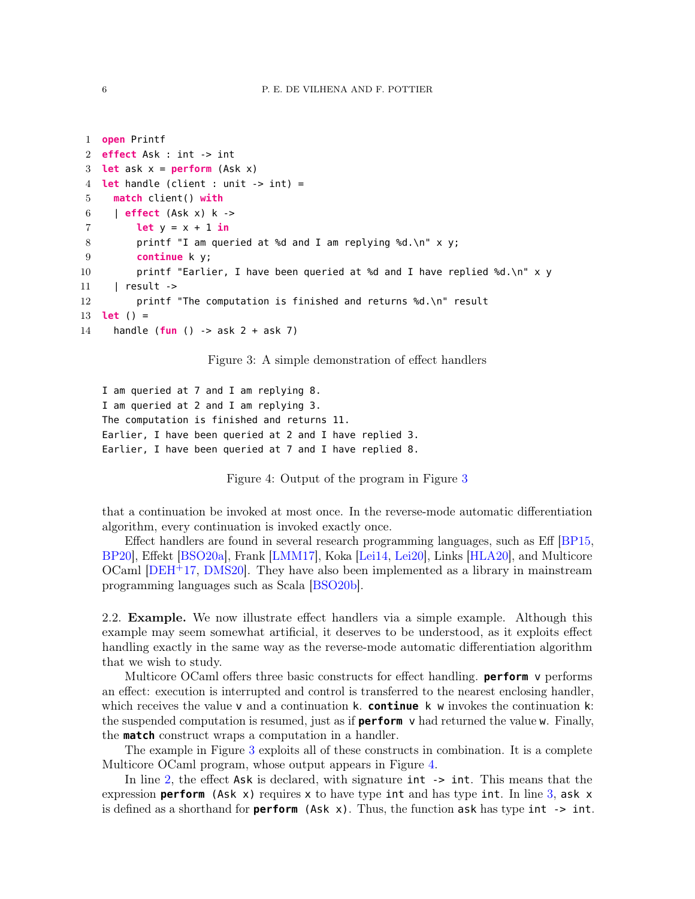```
1 open Printf
2 effect Ask : int -> int
3 let ask x = perform (Ask x)
4 let handle (client : unit -> int) =
5 match client() with
6 | effect (Ask x) k ->
7 let y = x + 1 in
8 printf "I am queried at %d and I am replying %d.\n" x y;
9 continue k y;
10 printf "Earlier, I have been queried at %d and I have replied %d.\n" x \ y11 | result ->
12 printf "The computation is finished and returns %d.\n" result
13 let () =
14 handle (fun () -> ask 2 + ask 7)
```
<span id="page-5-0"></span>Figure 3: A simple demonstration of effect handlers

```
I am queried at 7 and I am replying 8.
I am queried at 2 and I am replying 3.
The computation is finished and returns 11.
Earlier, I have been queried at 2 and I have replied 3.
Earlier, I have been queried at 7 and I have replied 8.
```
<span id="page-5-1"></span>Figure 4: Output of the program in Figure [3](#page-5-0)

that a continuation be invoked at most once. In the reverse-mode automatic differentiation algorithm, every continuation is invoked exactly once.

Effect handlers are found in several research programming languages, such as Eff [\[BP15,](#page-28-1) [BP20\]](#page-28-2), Effekt [\[BSO20a\]](#page-28-3), Frank [\[LMM17\]](#page-29-12), Koka [\[Lei14,](#page-29-13) [Lei20\]](#page-29-14), Links [\[HLA20\]](#page-29-15), and Multicore OCaml [\[DEH](#page-28-4)+17, [DMS20\]](#page-29-4). They have also been implemented as a library in mainstream programming languages such as Scala [\[BSO20b\]](#page-28-5).

2.2. Example. We now illustrate effect handlers via a simple example. Although this example may seem somewhat artificial, it deserves to be understood, as it exploits effect handling exactly in the same way as the reverse-mode automatic differentiation algorithm that we wish to study.

Multicore OCaml offers three basic constructs for effect handling. **perform** v performs an effect: execution is interrupted and control is transferred to the nearest enclosing handler, which receives the value v and a continuation k. **continue** k w invokes the continuation k: the suspended computation is resumed, just as if **perform** v had returned the value w. Finally, the **match** construct wraps a computation in a handler.

The example in Figure [3](#page-5-0) exploits all of these constructs in combination. It is a complete Multicore OCaml program, whose output appears in Figure [4.](#page-5-1)

In line [2,](#page-5-2) the effect Ask is declared, with signature int  $\rightarrow$  int. This means that the expression **perform** (Ask x) requires x to have type int and has type int. In line [3,](#page-5-3) ask x is defined as a shorthand for **perform** (Ask x). Thus, the function ask has type int -> int.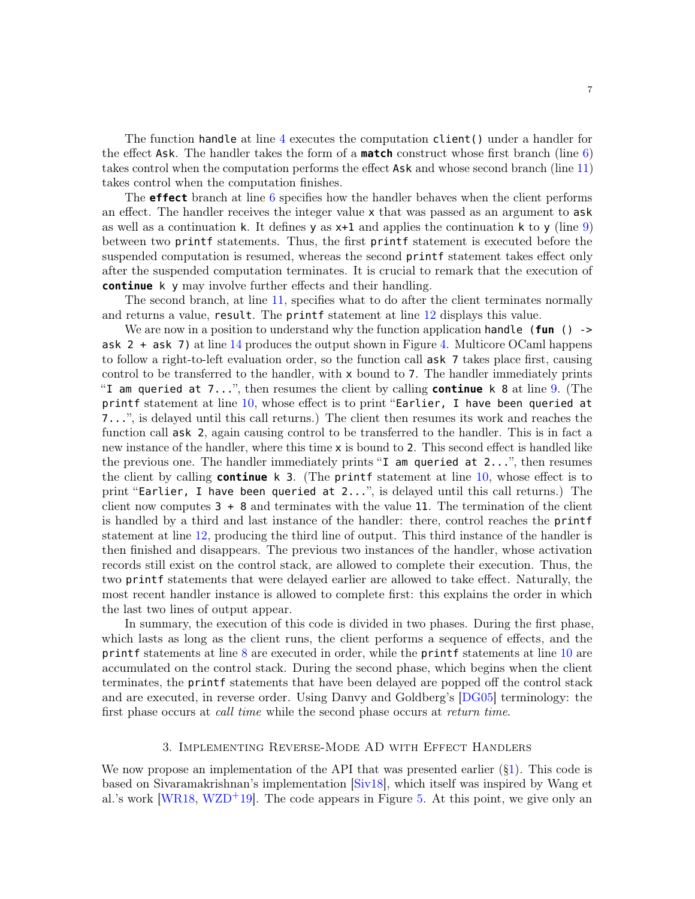The function handle at line [4](#page-5-4) executes the computation client() under a handler for the effect Ask. The handler takes the form of a **match** construct whose first branch (line [6\)](#page-5-5) takes control when the computation performs the effect Ask and whose second branch (line [11\)](#page-5-6) takes control when the computation finishes.

The **effect** branch at line [6](#page-5-5) specifies how the handler behaves when the client performs an effect. The handler receives the integer value x that was passed as an argument to ask as well as a continuation k. It defines  $y$  as  $x+1$  and applies the continuation k to y (line [9\)](#page-5-7) between two printf statements. Thus, the first printf statement is executed before the suspended computation is resumed, whereas the second printf statement takes effect only after the suspended computation terminates. It is crucial to remark that the execution of **continue** k y may involve further effects and their handling.

The second branch, at line [11,](#page-5-6) specifies what to do after the client terminates normally and returns a value, result. The printf statement at line [12](#page-5-8) displays this value.

We are now in a position to understand why the function application handle (**fun** () -> ask 2 + ask 7) at line  $14$  produces the output shown in Figure [4.](#page-5-1) Multicore OCaml happens to follow a right-to-left evaluation order, so the function call ask 7 takes place first, causing control to be transferred to the handler, with x bound to 7. The handler immediately prints "I am queried at 7...", then resumes the client by calling **continue** k 8 at line [9.](#page-5-7) (The printf statement at line  $10$ , whose effect is to print "Earlier, I have been queried at 7...", is delayed until this call returns.) The client then resumes its work and reaches the function call **ask** 2, again causing control to be transferred to the handler. This is in fact a new instance of the handler, where this time x is bound to 2. This second effect is handled like the previous one. The handler immediately prints "I am queried at 2...", then resumes the client by calling **continue** k 3. (The printf statement at line [10,](#page-5-10) whose effect is to print "Earlier, I have been queried at 2...", is delayed until this call returns.) The client now computes  $3 + 8$  and terminates with the value 11. The termination of the client is handled by a third and last instance of the handler: there, control reaches the printf statement at line [12,](#page-5-8) producing the third line of output. This third instance of the handler is then finished and disappears. The previous two instances of the handler, whose activation records still exist on the control stack, are allowed to complete their execution. Thus, the two printf statements that were delayed earlier are allowed to take effect. Naturally, the most recent handler instance is allowed to complete first: this explains the order in which the last two lines of output appear.

In summary, the execution of this code is divided in two phases. During the first phase, which lasts as long as the client runs, the client performs a sequence of effects, and the printf statements at line [8](#page-5-11) are executed in order, while the printf statements at line [10](#page-5-10) are accumulated on the control stack. During the second phase, which begins when the client terminates, the printf statements that have been delayed are popped off the control stack and are executed, in reverse order. Using Danvy and Goldberg's [\[DG05\]](#page-29-16) terminology: the first phase occurs at *call time* while the second phase occurs at *return time*.

### 3. Implementing Reverse-Mode AD with Effect Handlers

<span id="page-6-0"></span>We now propose an implementation of the API that was presented earlier ([§1\)](#page-2-0). This code is based on Sivaramakrishnan's implementation [\[Siv18\]](#page-30-3), which itself was inspired by Wang et al.'s work [\[WR18,](#page-30-0) [WZD](#page-30-1)<sup>+</sup>19]. The code appears in Figure [5.](#page-7-0) At this point, we give only an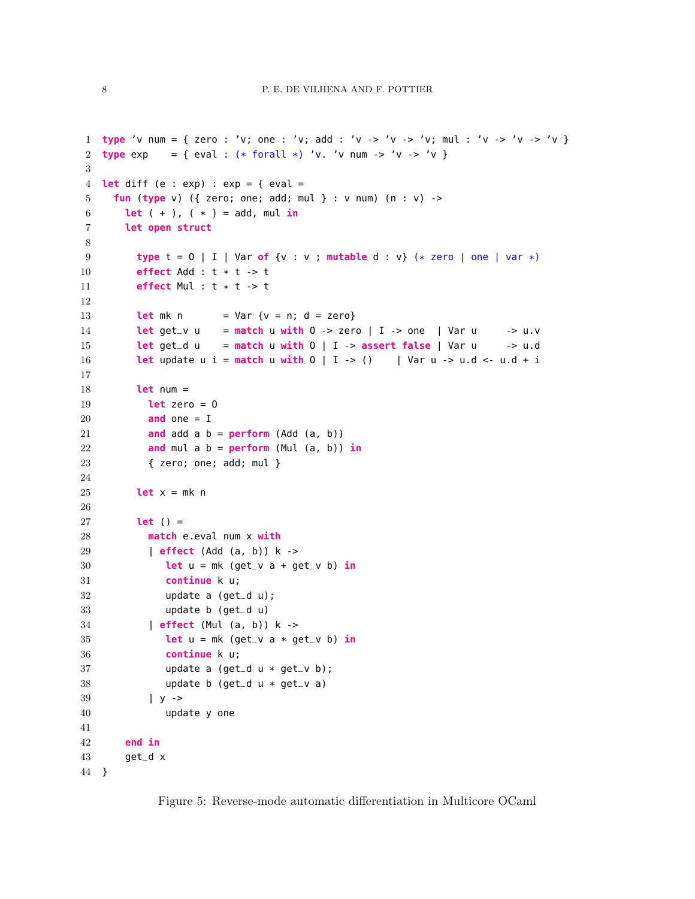```
1 type 'v num = { zero : 'v; one : 'v; add : 'v -> 'v -> 'v; mul : 'v -> 'v -> 'v }
2 type \exp = { \exp \left\{ ( * \text{ for all } * \text{)} \right\} 'v. 'v num -> 'v -> 'v }
3
4 let diff (e : exp) : exp = { eval =
5 fun (type v) ({ zero; one; add; mul } : v num) (n : v) ->
6 let (+), (*) = add, mul in
7 let open struct
8
9 type t = O | I | Var of {v : v ; mutable d : v} (* zero | one | var *)
10 effect Add : t * t -> t
11 effect Mul : t * t -> t
12
13 let mk n = Var \{v = n; d = zero\}14 let get_v u = match u with O -> zero | I -> one | Var u -> u.v
15 let get_d u = match u with O | I -> assert false | Var u -> u.d
16 let update u i = match u with O | I -> () | Var u -> u.d <- u.d + i
17
18 let num =
19 let zero = O
20 and one = I
21 and add a b = \text{perform (Add (a, b))}22 and mul a b = perform (Mul (a, b)) in
23 { zero; one; add; mul }
24
25 let x = mk n
26
27 let () =
28 match e.eval num x with
29 effect (Add (a, b)) k ->
30 let u = mk (get_v a + get_v b) \frac{in}{}</math>31 continue k u;
32 update a (get_d u);
33 update b (get_d u)
34 | effect (Mul (a, b)) k ->
35 let u = mk (get_v a * get_v b) in
36 continue k u;
37 update a (get_d u * get_v b);
38 update b (get_d u * get_v a)
39 | y ->
40 update y one
41
42 end in
43 get_d x
44 }
```
<span id="page-7-30"></span><span id="page-7-29"></span><span id="page-7-28"></span><span id="page-7-27"></span><span id="page-7-26"></span><span id="page-7-25"></span><span id="page-7-24"></span><span id="page-7-23"></span><span id="page-7-22"></span><span id="page-7-21"></span><span id="page-7-15"></span><span id="page-7-14"></span><span id="page-7-13"></span><span id="page-7-5"></span><span id="page-7-4"></span><span id="page-7-0"></span>Figure 5: Reverse-mode automatic differentiation in Multicore OCaml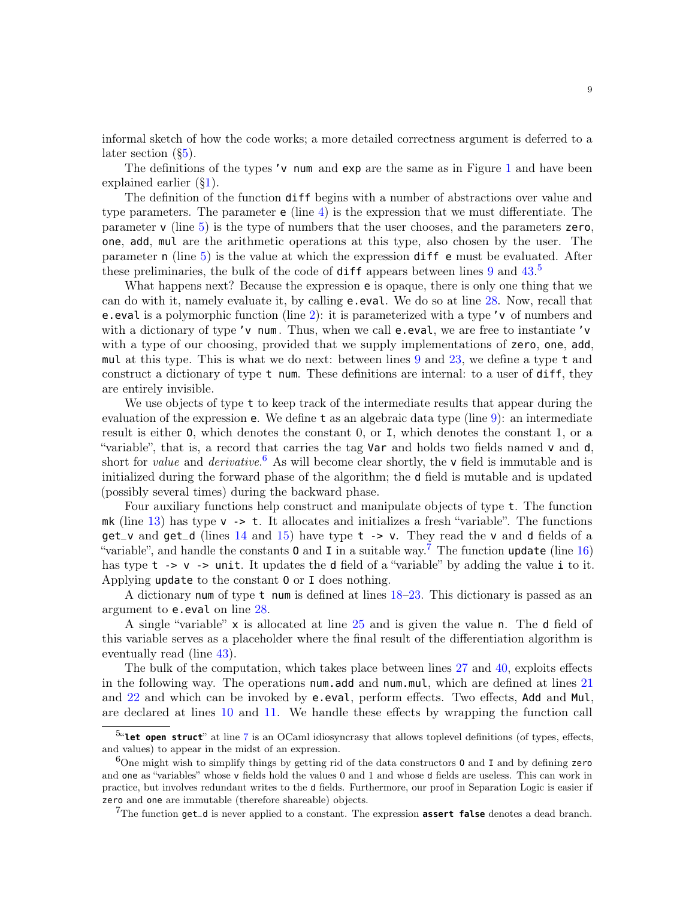informal sketch of how the code works; a more detailed correctness argument is deferred to a later section ([§5\)](#page-13-0).

The definitions of the types ' $v$  num and  $exp$  are the same as in Figure [1](#page-2-1) and have been explained earlier ([§1\)](#page-2-0).

The definition of the function diff begins with a number of abstractions over value and type parameters. The parameter  $e$  (line [4\)](#page-7-1) is the expression that we must differentiate. The parameter  $v$  (line [5\)](#page-7-2) is the type of numbers that the user chooses, and the parameters zero, one, add, mul are the arithmetic operations at this type, also chosen by the user. The parameter n (line [5\)](#page-7-2) is the value at which the expression diff e must be evaluated. After these preliminaries, the bulk of the code of diff appears between lines [9](#page-7-3) and [43.](#page-7-4)<sup>[5](#page-8-0)</sup>

What happens next? Because the expression e is opaque, there is only one thing that we can do with it, namely evaluate it, by calling e.eval. We do so at line [28.](#page-7-5) Now, recall that e.eval is a polymorphic function (line [2\)](#page-7-6): it is parameterized with a type 'v of numbers and with a dictionary of type 'v num. Thus, when we call e.eval, we are free to instantiate 'v with a type of our choosing, provided that we supply implementations of zero, one, add, mul at this type. This is what we do next: between lines [9](#page-7-3) and [23,](#page-7-7) we define a type t and construct a dictionary of type t num. These definitions are internal: to a user of diff, they are entirely invisible.

We use objects of type t to keep track of the intermediate results that appear during the evaluation of the expression e. We define t as an algebraic data type (line [9\)](#page-7-3): an intermediate result is either O, which denotes the constant 0, or I, which denotes the constant 1, or a "variable", that is, a record that carries the tag **Var** and holds two fields named **v** and **d**, short for *value* and *derivative*.<sup>[6](#page-8-1)</sup> As will become clear shortly, the  $\mathsf{v}$  field is immutable and is initialized during the forward phase of the algorithm; the d field is mutable and is updated (possibly several times) during the backward phase.

Four auxiliary functions help construct and manipulate objects of type t. The function mk (line [13\)](#page-7-8) has type  $v \rightarrow t$ . It allocates and initializes a fresh "variable". The functions  $get_v$  and  $get_d$  (lines [14](#page-7-9) and [15\)](#page-7-10) have type  $t \rightarrow v$ . They read the v and d fields of a "variable", and handle the constants **0** and **I** in a suitable way.<sup>[7](#page-8-2)</sup> The function update (line [16\)](#page-7-11) has type  $t \rightarrow v \rightarrow$  unit. It updates the d field of a "variable" by adding the value i to it. Applying update to the constant O or I does nothing.

A dictionary num of type t num is defined at lines [18–](#page-7-12)[23.](#page-7-7) This dictionary is passed as an argument to e.eval on line [28.](#page-7-5)

A single "variable" x is allocated at line [25](#page-7-13) and is given the value n. The d field of this variable serves as a placeholder where the final result of the differentiation algorithm is eventually read (line [43\)](#page-7-4).

The bulk of the computation, which takes place between lines [27](#page-7-14) and [40,](#page-7-15) exploits effects in the following way. The operations num.add and num.mul, which are defined at lines [21](#page-7-16) and [22](#page-7-17) and which can be invoked by e.eval, perform effects. Two effects, Add and Mul, are declared at lines [10](#page-7-18) and [11.](#page-7-19) We handle these effects by wrapping the function call

<span id="page-8-0"></span><sup>&</sup>lt;sup>5</sup>"**Let open struct**" at line [7](#page-7-20) is an OCaml idiosyncrasy that allows toplevel definitions (of types, effects, and values) to appear in the midst of an expression.

<span id="page-8-1"></span> $6$ One might wish to simplify things by getting rid of the data constructors 0 and I and by defining zero and one as "variables" whose v fields hold the values 0 and 1 and whose d fields are useless. This can work in practice, but involves redundant writes to the d fields. Furthermore, our proof in Separation Logic is easier if zero and one are immutable (therefore shareable) objects.

<span id="page-8-2"></span><sup>7</sup>The function get\_d is never applied to a constant. The expression **assert false** denotes a dead branch.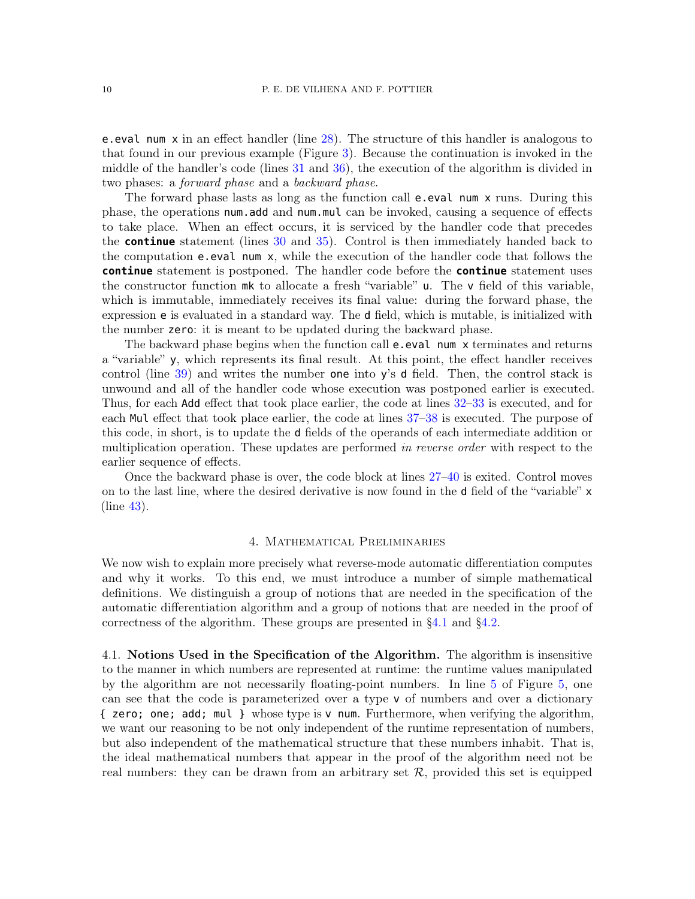e.eval num x in an effect handler (line [28\)](#page-7-5). The structure of this handler is analogous to that found in our previous example (Figure [3\)](#page-5-0). Because the continuation is invoked in the middle of the handler's code (lines [31](#page-7-21) and [36\)](#page-7-22), the execution of the algorithm is divided in two phases: a forward phase and a backward phase.

The forward phase lasts as long as the function call e.eval num x runs. During this phase, the operations num.add and num.mul can be invoked, causing a sequence of effects to take place. When an effect occurs, it is serviced by the handler code that precedes the **continue** statement (lines [30](#page-7-23) and [35\)](#page-7-24). Control is then immediately handed back to the computation e.eval num x, while the execution of the handler code that follows the **continue** statement is postponed. The handler code before the **continue** statement uses the constructor function mk to allocate a fresh "variable" u. The v field of this variable, which is immutable, immediately receives its final value: during the forward phase, the expression e is evaluated in a standard way. The d field, which is mutable, is initialized with the number zero: it is meant to be updated during the backward phase.

The backward phase begins when the function call **e**.eval num x terminates and returns a "variable" y, which represents its final result. At this point, the effect handler receives control (line  $39$ ) and writes the number one into y's d field. Then, the control stack is unwound and all of the handler code whose execution was postponed earlier is executed. Thus, for each Add effect that took place earlier, the code at lines [32–](#page-7-26)[33](#page-7-27) is executed, and for each Mul effect that took place earlier, the code at lines [37](#page-7-28)[–38](#page-7-29) is executed. The purpose of this code, in short, is to update the d fields of the operands of each intermediate addition or multiplication operation. These updates are performed in reverse order with respect to the earlier sequence of effects.

Once the backward phase is over, the code block at lines [27–](#page-7-14)[40](#page-7-15) is exited. Control moves on to the last line, where the desired derivative is now found in the d field of the "variable" x (line [43\)](#page-7-4).

#### 4. Mathematical Preliminaries

<span id="page-9-0"></span>We now wish to explain more precisely what reverse-mode automatic differentiation computes and why it works. To this end, we must introduce a number of simple mathematical definitions. We distinguish a group of notions that are needed in the specification of the automatic differentiation algorithm and a group of notions that are needed in the proof of correctness of the algorithm. These groups are presented in [§4.1](#page-9-1) and [§4.2.](#page-12-0)

<span id="page-9-1"></span>4.1. Notions Used in the Specification of the Algorithm. The algorithm is insensitive to the manner in which numbers are represented at runtime: the runtime values manipulated by the algorithm are not necessarily floating-point numbers. In line [5](#page-7-2) of Figure [5,](#page-7-0) one can see that the code is parameterized over a type v of numbers and over a dictionary { zero; one; add; mul } whose type is v num. Furthermore, when verifying the algorithm, we want our reasoning to be not only independent of the runtime representation of numbers, but also independent of the mathematical structure that these numbers inhabit. That is, the ideal mathematical numbers that appear in the proof of the algorithm need not be real numbers: they can be drawn from an arbitrary set  $R$ , provided this set is equipped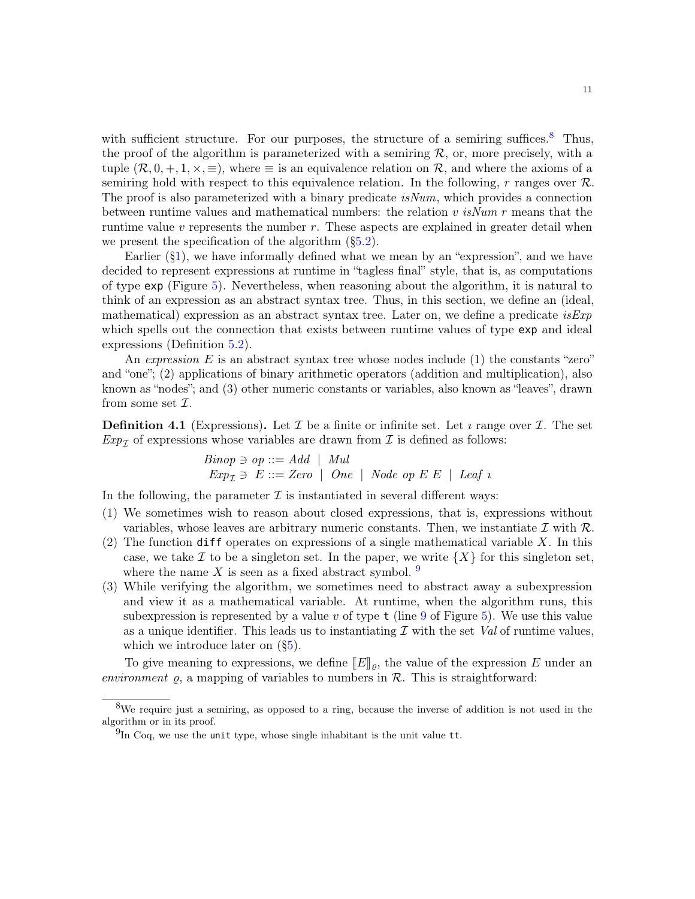with sufficient structure. For our purposes, the structure of a semiring suffices.<sup>[8](#page-10-0)</sup> Thus, the proof of the algorithm is parameterized with a semiring  $R$ , or, more precisely, with a tuple  $(\mathcal{R}, 0, +, 1, \times, \equiv)$ , where  $\equiv$  is an equivalence relation on  $\mathcal{R}$ , and where the axioms of a semiring hold with respect to this equivalence relation. In the following, r ranges over  $\mathcal{R}$ . The proof is also parameterized with a binary predicate  $isNum$ , which provides a connection between runtime values and mathematical numbers: the relation v  $isNum\ r$  means that the runtime value  $v$  represents the number  $r$ . These aspects are explained in greater detail when we present the specification of the algorithm  $(\S 5.2)$ .

Earlier  $(\S1)$ , we have informally defined what we mean by an "expression", and we have decided to represent expressions at runtime in "tagless final" style, that is, as computations of type exp (Figure [5\)](#page-7-0). Nevertheless, when reasoning about the algorithm, it is natural to think of an expression as an abstract syntax tree. Thus, in this section, we define an (ideal, mathematical) expression as an abstract syntax tree. Later on, we define a predicate  $i s E x p$ which spells out the connection that exists between runtime values of type  $exp$  and ideal expressions (Definition [5.2\)](#page-15-1).

An expression E is an abstract syntax tree whose nodes include (1) the constants "zero" and "one"; (2) applications of binary arithmetic operators (addition and multiplication), also known as "nodes"; and (3) other numeric constants or variables, also known as "leaves", drawn from some set  $\mathcal{I}.$ 

**Definition 4.1** (Expressions). Let  $\mathcal{I}$  be a finite or infinite set. Let *i* range over  $\mathcal{I}$ . The set  $Exp_7$  of expressions whose variables are drawn from  $\mathcal I$  is defined as follows:

$$
Binop \ni op ::= Add \mid Mul
$$
  
 
$$
Exp_{\mathcal{I}} \ni E ::= Zero \mid One \mid Node op E E \mid Leaf \ i
$$

In the following, the parameter  $\mathcal I$  is instantiated in several different ways:

- (1) We sometimes wish to reason about closed expressions, that is, expressions without variables, whose leaves are arbitrary numeric constants. Then, we instantiate  $\mathcal I$  with  $\mathcal R$ .
- (2) The function diff operates on expressions of a single mathematical variable  $X$ . In this case, we take I to be a singleton set. In the paper, we write  $\{X\}$  for this singleton set, where the name X is seen as a fixed abstract symbol.  $9$
- (3) While verifying the algorithm, we sometimes need to abstract away a subexpression and view it as a mathematical variable. At runtime, when the algorithm runs, this subexpression is represented by a value v of type  $\tau$  (line [9](#page-7-3) of Figure [5\)](#page-7-0). We use this value as a unique identifier. This leads us to instantiating  $\mathcal I$  with the set Val of runtime values, which we introduce later on ([§5\)](#page-13-0).

To give meaning to expressions, we define  $[[E]]_{\rho}$ , the value of the expression E under an environment  $\rho$ , a mapping of variables to numbers in  $\mathcal{R}$ . This is straightforward:

<span id="page-10-0"></span><sup>8</sup>We require just a semiring, as opposed to a ring, because the inverse of addition is not used in the algorithm or in its proof.

<span id="page-10-1"></span> $^{9}$ In Coq, we use the unit type, whose single inhabitant is the unit value tt.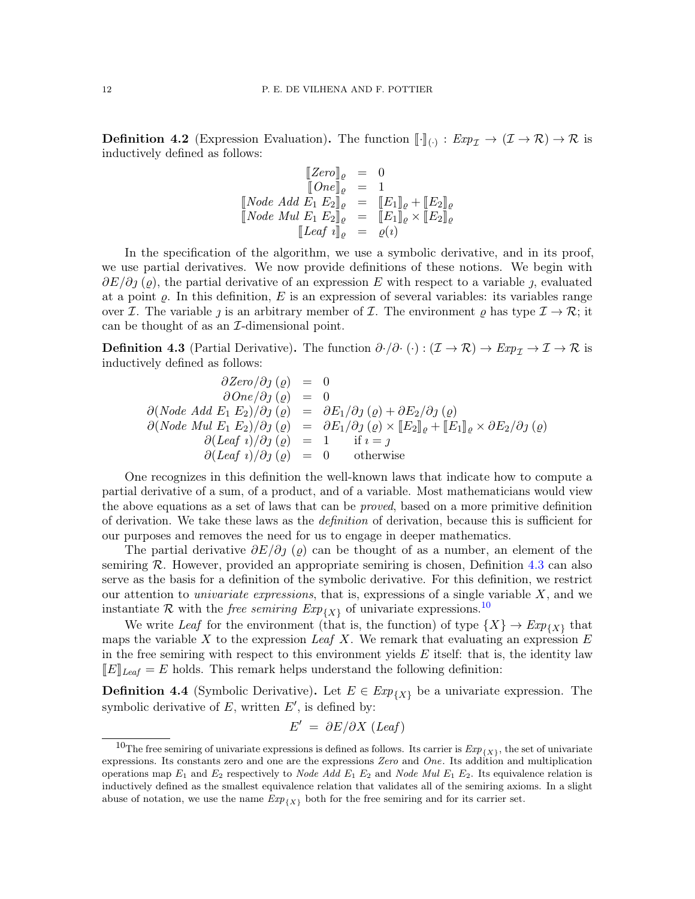**Definition 4.2** (Expression Evaluation). The function  $[\![\cdot]\!]_{(\cdot)} : Exp_{\mathcal{I}} \to (\mathcal{I} \to \mathcal{R}) \to \mathcal{R}$  is inductively defined as follows: inductively defined as follows:

$$
\begin{array}{rcl}\n\llbracket Zero \rrbracket_{\varrho} & = & 0 \\
\llbracket One \rrbracket_{\varrho} & = & 1 \\
\llbracket Node \; Add \; E_1 \; E_2 \rrbracket_{\varrho} & = & \llbracket E_1 \rrbracket_{\varrho} + \llbracket E_2 \rrbracket_{\varrho} \\
\llbracket Node \; Mul \; E_1 \; E_2 \rrbracket_{\varrho} & = & \llbracket E_1 \rrbracket_{\varrho} \times \llbracket E_2 \rrbracket_{\varrho} \\
\llbracket Leaf \; i \rrbracket_{\varrho} & = & \varrho(i)\n\end{array}
$$

In the specification of the algorithm, we use a symbolic derivative, and in its proof, we use partial derivatives. We now provide definitions of these notions. We begin with  $\partial E/\partial j$  ( $\varrho$ ), the partial derivative of an expression E with respect to a variable j, evaluated at a point  $\varrho$ . In this definition, E is an expression of several variables: its variables range over *I*. The variable *j* is an arbitrary member of *I*. The environment  $\varrho$  has type  $\mathcal{I} \to \mathcal{R}$ ; it can be thought of as an  $\mathcal{I}\text{-dimensional point.}$ 

<span id="page-11-0"></span>**Definition 4.3** (Partial Derivative). The function  $\partial \cdot / \partial \cdot (\cdot) : (\mathcal{I} \to \mathcal{R}) \to \mathit{Exp}_{\mathcal{I}} \to \mathcal{I} \to \mathcal{R}$  is inductively defined as follows:

$$
\frac{\partial Zero/\partial j(\varrho)}{\partial One/\partial j(\varrho)} = 0
$$
  
\n
$$
\frac{\partial One/\partial j(\varrho)}{\partial y(\varrho)} = 0
$$
  
\n
$$
\frac{\partial (Node \text{ Add } E_1 \text{ } E_2)/\partial j(\varrho)}{\partial (Node \text{ Mul } E_1 \text{ } E_2)/\partial j(\varrho)} = \frac{\partial E_1}{\partial y(\varrho)} \times [E_2]_{\varrho} + [E_1]_{\varrho} \times \frac{\partial E_2}{\partial y(\varrho)}
$$
  
\n
$$
\frac{\partial (Leaf \text{ } i)/\partial j(\varrho)}{\partial (Leaf \text{ } i)/\partial j(\varrho)} = 0 \quad \text{otherwise}
$$

One recognizes in this definition the well-known laws that indicate how to compute a partial derivative of a sum, of a product, and of a variable. Most mathematicians would view the above equations as a set of laws that can be proved, based on a more primitive definition of derivation. We take these laws as the definition of derivation, because this is sufficient for our purposes and removes the need for us to engage in deeper mathematics.

The partial derivative  $\partial E/\partial j$  ( $\rho$ ) can be thought of as a number, an element of the semiring  $\mathcal{R}$ . However, provided an appropriate semiring is chosen, Definition [4.3](#page-11-0) can also serve as the basis for a definition of the symbolic derivative. For this definition, we restrict our attention to *univariate expressions*, that is, expressions of a single variable  $X$ , and we instantiate R with the *free semiring*  $Exp_{\{X\}}$  of univariate expressions.<sup>[10](#page-11-1)</sup>

We write Leaf for the environment (that is, the function) of type  $\{X\} \to Exp_{\{X\}}$  that maps the variable X to the expression Leaf X. We remark that evaluating an expression  $E$ in the free semiring with respect to this environment yields  $E$  itself: that is, the identity law  $\llbracket E \rrbracket_{\text{Leaf}} = E$  holds. This remark helps understand the following definition:

**Definition 4.4** (Symbolic Derivative). Let  $E \in Exp_{\{X\}}$  be a univariate expression. The symbolic derivative of  $E$ , written  $E'$ , is defined by:

$$
E' = \partial E / \partial X \ (Leaf)
$$

<span id="page-11-1"></span><sup>&</sup>lt;sup>10</sup>The free semiring of univariate expressions is defined as follows. Its carrier is  $Exp_{\{X\}}$ , the set of univariate expressions. Its constants zero and one are the expressions Zero and One. Its addition and multiplication operations map  $E_1$  and  $E_2$  respectively to *Node Add*  $E_1$   $E_2$  and *Node Mul*  $E_1$   $E_2$ . Its equivalence relation is inductively defined as the smallest equivalence relation that validates all of the semiring axioms. In a slight abuse of notation, we use the name  $Exp_{\{X\}}$  both for the free semiring and for its carrier set.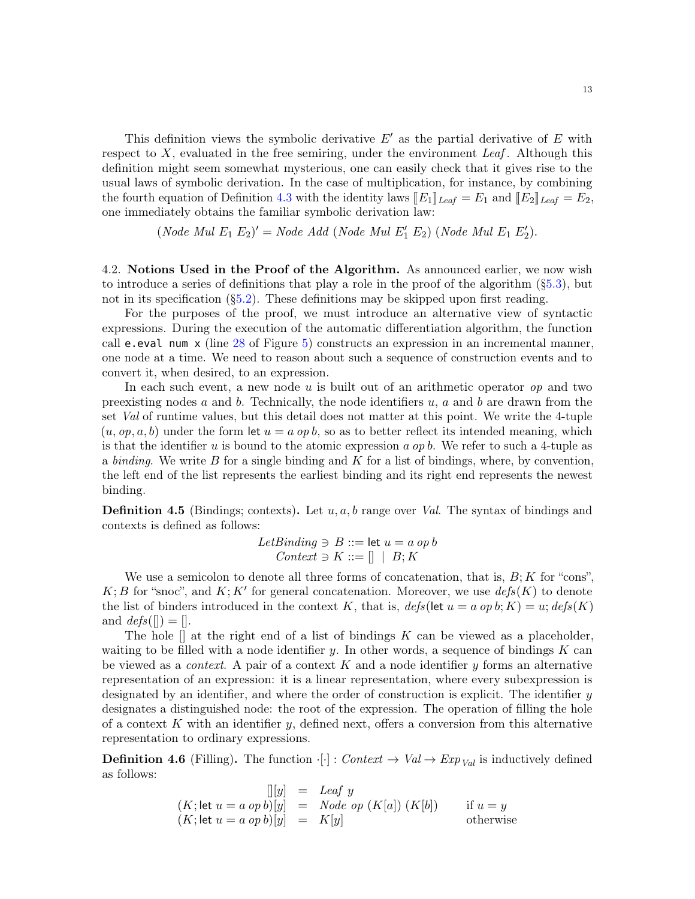This definition views the symbolic derivative  $E'$  as the partial derivative of E with respect to  $X$ , evaluated in the free semiring, under the environment Leaf. Although this definition might seem somewhat mysterious, one can easily check that it gives rise to the usual laws of symbolic derivation. In the case of multiplication, for instance, by combining the fourth equation of Definition [4.3](#page-11-0) with the identity laws  $[[E_1]]_{Leaf} = E_1$  and  $[[E_2]]_{Leaf} = E_2$ , one immediately obtains the familiar symbolic derivation law:

(*Node Mul* 
$$
E_1
$$
  $E_2$ )' = *Node Add* (*Node Mul*  $E'_1$   $E_2$ ) (*Node Mul*  $E_1$   $E'_2$ ).

<span id="page-12-0"></span>4.2. Notions Used in the Proof of the Algorithm. As announced earlier, we now wish to introduce a series of definitions that play a role in the proof of the algorithm  $(\S 5.3)$ , but not in its specification ([§5.2\)](#page-15-0). These definitions may be skipped upon first reading.

For the purposes of the proof, we must introduce an alternative view of syntactic expressions. During the execution of the automatic differentiation algorithm, the function call e.eval num x (line [28](#page-7-5) of Figure [5\)](#page-7-0) constructs an expression in an incremental manner, one node at a time. We need to reason about such a sequence of construction events and to convert it, when desired, to an expression.

In each such event, a new node  $u$  is built out of an arithmetic operator  $op$  and two preexisting nodes a and b. Technically, the node identifiers  $u, a$  and b are drawn from the set Val of runtime values, but this detail does not matter at this point. We write the 4-tuple  $(u, op, a, b)$  under the form let  $u = a op b$ , so as to better reflect its intended meaning, which is that the identifier u is bound to the atomic expression a op b. We refer to such a 4-tuple as a binding. We write B for a single binding and K for a list of bindings, where, by convention. the left end of the list represents the earliest binding and its right end represents the newest binding.

<span id="page-12-1"></span>**Definition 4.5** (Bindings; contexts). Let  $u, a, b$  range over *Val.* The syntax of bindings and contexts is defined as follows:

> LetBinding  $\Rightarrow$  B ::= let  $u = a$  op b  $Context \ni K ::= [] \mid B; K$

We use a semicolon to denote all three forms of concatenation, that is,  $B; K$  for "cons",  $K; B$  for "snoc", and  $K; K'$  for general concatenation. Moreover, we use  $defs(K)$  to denote the list of binders introduced in the context K, that is,  $\text{defs}(\text{let } u = a \text{ op } b; K) = u; \text{defs}(K)$ and  $\text{defs}(\lceil) = \lceil$ .

The hole  $\parallel$  at the right end of a list of bindings K can be viewed as a placeholder, waiting to be filled with a node identifier y. In other words, a sequence of bindings  $K$  can be viewed as a *context*. A pair of a context  $K$  and a node identifier  $y$  forms an alternative representation of an expression: it is a linear representation, where every subexpression is designated by an identifier, and where the order of construction is explicit. The identifier y designates a distinguished node: the root of the expression. The operation of filling the hole of a context K with an identifier  $y$ , defined next, offers a conversion from this alternative representation to ordinary expressions.

**Definition 4.6** (Filling). The function  $\cdot[\cdot]$ : Context  $\rightarrow$  Val  $\rightarrow$  Exp<sub>Val</sub> is inductively defined as follows:

$$
\begin{array}{rcl}\n[|y] & = & \text{Leaf } y \\
(K; \text{let } u = a \text{ op } b)[y] & = & \text{Node } op \ (K[a]) \ (K[b]) \qquad \text{if } u = y \\
(K; \text{let } u = a \text{ op } b)[y] & = & K[y] \qquad \text{otherwise}\n\end{array}
$$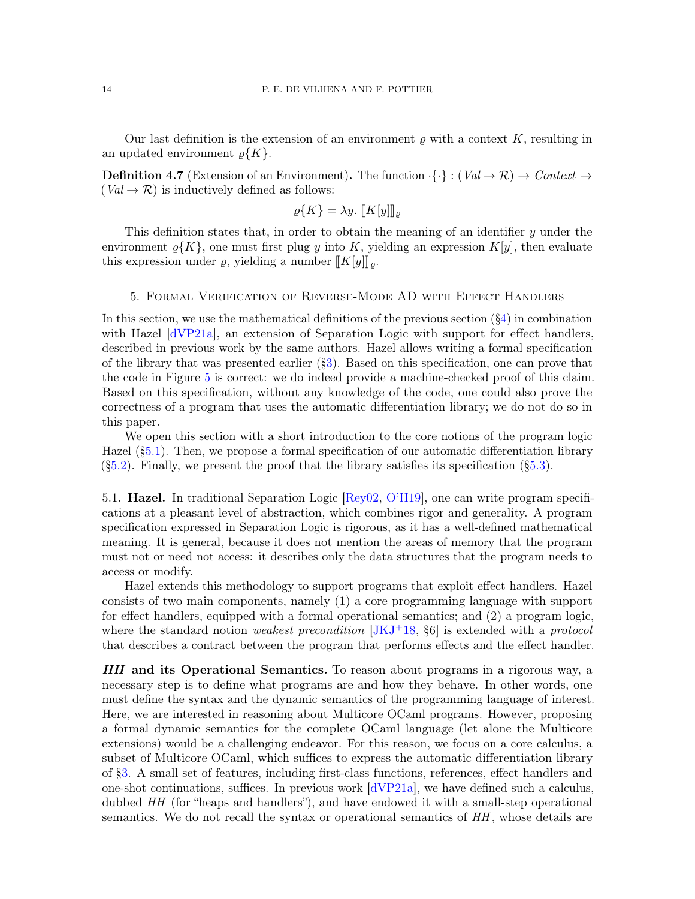Our last definition is the extension of an environment  $\rho$  with a context K, resulting in an updated environment  $\rho\{K\}.$ 

**Definition 4.7** (Extension of an Environment). The function  $\{ \cdot \} : (Val \rightarrow \mathcal{R}) \rightarrow Context \rightarrow$  $(Val \rightarrow \mathcal{R})$  is inductively defined as follows:

$$
\varrho\{K\} = \lambda y. \llbracket K[y] \rrbracket_{\varrho}
$$

This definition states that, in order to obtain the meaning of an identifier y under the environment  $\varrho\{K\}$ , one must first plug y into K, yielding an expression  $K[y]$ , then evaluate this expression under  $\varrho$ , yielding a number  $[[K[y]]_{\rho}$ .

#### 5. Formal Verification of Reverse-Mode AD with Effect Handlers

<span id="page-13-0"></span>In this section, we use the mathematical definitions of the previous section  $(\S_4)$  in combination with Hazel [\[dVP21a\]](#page-29-2), an extension of Separation Logic with support for effect handlers, described in previous work by the same authors. Hazel allows writing a formal specification of the library that was presented earlier ([§3\)](#page-6-0). Based on this specification, one can prove that the code in Figure [5](#page-7-0) is correct: we do indeed provide a machine-checked proof of this claim. Based on this specification, without any knowledge of the code, one could also prove the correctness of a program that uses the automatic differentiation library; we do not do so in this paper.

We open this section with a short introduction to the core notions of the program logic Hazel ([§5.1\)](#page-13-1). Then, we propose a formal specification of our automatic differentiation library  $(\S 5.2)$ . Finally, we present the proof that the library satisfies its specification  $(\S 5.3)$ .

<span id="page-13-1"></span>5.1. Hazel. In traditional Separation Logic [\[Rey02,](#page-30-6) [O'H19\]](#page-29-17), one can write program specifications at a pleasant level of abstraction, which combines rigor and generality. A program specification expressed in Separation Logic is rigorous, as it has a well-defined mathematical meaning. It is general, because it does not mention the areas of memory that the program must not or need not access: it describes only the data structures that the program needs to access or modify.

Hazel extends this methodology to support programs that exploit effect handlers. Hazel consists of two main components, namely (1) a core programming language with support for effect handlers, equipped with a formal operational semantics; and (2) a program logic, where the standard notion *weakest precondition* [\[JKJ](#page-29-1)<sup>+</sup>18,  $\S6$ ] is extended with a *protocol* that describes a contract between the program that performs effects and the effect handler.

HH and its Operational Semantics. To reason about programs in a rigorous way, a necessary step is to define what programs are and how they behave. In other words, one must define the syntax and the dynamic semantics of the programming language of interest. Here, we are interested in reasoning about Multicore OCaml programs. However, proposing a formal dynamic semantics for the complete OCaml language (let alone the Multicore extensions) would be a challenging endeavor. For this reason, we focus on a core calculus, a subset of Multicore OCaml, which suffices to express the automatic differentiation library of [§3.](#page-6-0) A small set of features, including first-class functions, references, effect handlers and one-shot continuations, suffices. In previous work  $\frac{dVP}{21a}$ , we have defined such a calculus, dubbed HH (for "heaps and handlers"), and have endowed it with a small-step operational semantics. We do not recall the syntax or operational semantics of  $HH$ , whose details are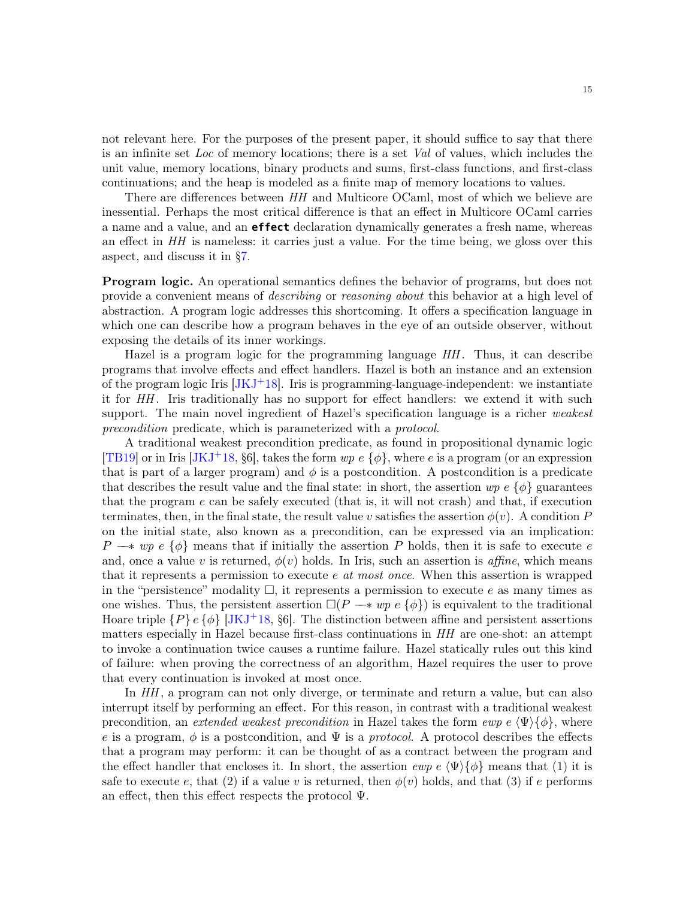not relevant here. For the purposes of the present paper, it should suffice to say that there is an infinite set Loc of memory locations; there is a set Val of values, which includes the unit value, memory locations, binary products and sums, first-class functions, and first-class continuations; and the heap is modeled as a finite map of memory locations to values.

There are differences between  $HH$  and Multicore OCaml, most of which we believe are inessential. Perhaps the most critical difference is that an effect in Multicore OCaml carries a name and a value, and an **effect** declaration dynamically generates a fresh name, whereas an effect in HH is nameless: it carries just a value. For the time being, we gloss over this aspect, and discuss it in [§7.](#page-26-0)

Program logic. An operational semantics defines the behavior of programs, but does not provide a convenient means of describing or reasoning about this behavior at a high level of abstraction. A program logic addresses this shortcoming. It offers a specification language in which one can describe how a program behaves in the eye of an outside observer, without exposing the details of its inner workings.

Hazel is a program logic for the programming language  $HH$ . Thus, it can describe programs that involve effects and effect handlers. Hazel is both an instance and an extension of the program logic Iris  $[JKJ^+18]$  $[JKJ^+18]$ . Iris is programming-language-independent: we instantiate it for HH. Iris traditionally has no support for effect handlers: we extend it with such support. The main novel ingredient of Hazel's specification language is a richer weakest precondition predicate, which is parameterized with a protocol.

A traditional weakest precondition predicate, as found in propositional dynamic logic [\[TB19\]](#page-30-9) or in Iris  $[JKJ^+18, §6]$  $[JKJ^+18, §6]$ , takes the form  $wp \in \{\phi\}$ , where e is a program (or an expression that is part of a larger program) and  $\phi$  is a postcondition. A postcondition is a predicate that describes the result value and the final state: in short, the assertion  $wp \in {\phi}$  guarantees that the program e can be safely executed (that is, it will not crash) and that, if execution terminates, then, in the final state, the result value v satisfies the assertion  $\phi(v)$ . A condition P on the initial state, also known as a precondition, can be expressed via an implication:  $P \rightarrow \infty$  e { $\phi$ } means that if initially the assertion P holds, then it is safe to execute e and, once a value v is returned,  $\phi(v)$  holds. In Iris, such an assertion is *affine*, which means that it represents a permission to execute e at most once. When this assertion is wrapped in the "persistence" modality  $\Box$ , it represents a permission to execute e as many times as one wishes. Thus, the persistent assertion  $\Box(P \rightarrow \ast wp \ e \ {\phi})$  is equivalent to the traditional Hoare triple  $\{P\}$  e  $\{\phi\}$  [\[JKJ](#page-29-1)<sup>+</sup>18, §6]. The distinction between affine and persistent assertions matters especially in Hazel because first-class continuations in HH are one-shot: an attempt to invoke a continuation twice causes a runtime failure. Hazel statically rules out this kind of failure: when proving the correctness of an algorithm, Hazel requires the user to prove that every continuation is invoked at most once.

In  $HH$ , a program can not only diverge, or terminate and return a value, but can also interrupt itself by performing an effect. For this reason, in contrast with a traditional weakest precondition, an extended weakest precondition in Hazel takes the form ewp e  $\langle \Psi \rangle \{ \phi \}$ , where e is a program,  $\phi$  is a postcondition, and  $\Psi$  is a protocol. A protocol describes the effects that a program may perform: it can be thought of as a contract between the program and the effect handler that encloses it. In short, the assertion  $\exp e \langle \Psi \rangle {\phi}$  means that (1) it is safe to execute e, that (2) if a value v is returned, then  $\phi(v)$  holds, and that (3) if e performs an effect, then this effect respects the protocol  $\Psi$ .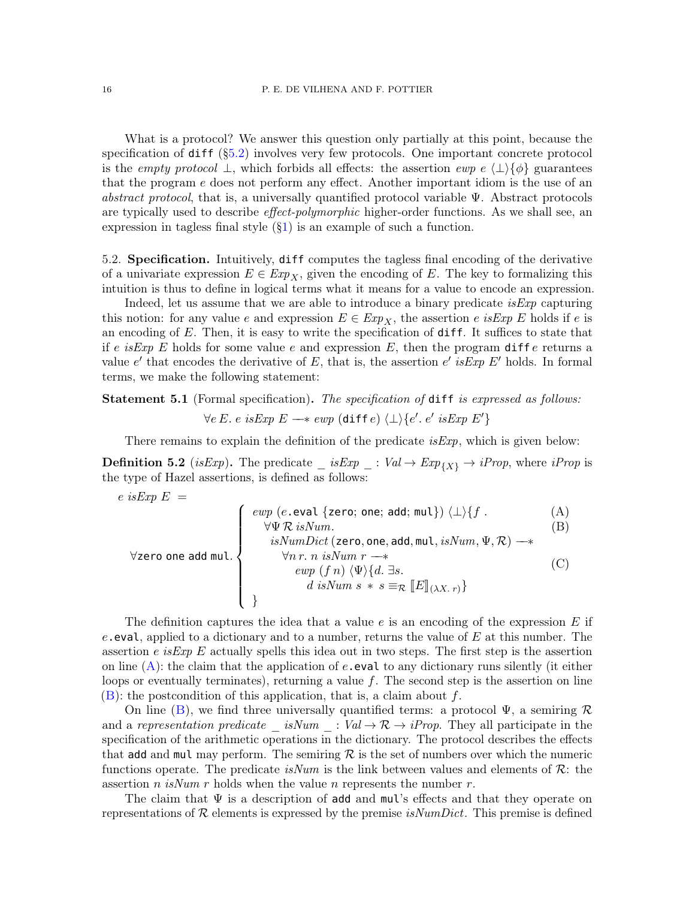What is a protocol? We answer this question only partially at this point, because the specification of  $diff$  ([§5.2\)](#page-15-0) involves very few protocols. One important concrete protocol is the *empty protocol* ⊥, which forbids all effects: the assertion *ewp e*  $\langle \perp \rangle$ { $\phi$ } guarantees that the program e does not perform any effect. Another important idiom is the use of an abstract protocol, that is, a universally quantified protocol variable  $\Psi$ . Abstract protocols are typically used to describe *effect-polymorphic* higher-order functions. As we shall see, an expression in tagless final style  $(\S1)$  is an example of such a function.

<span id="page-15-0"></span>5.2. Specification. Intuitively, diff computes the tagless final encoding of the derivative of a univariate expression  $E \in Exp_X$ , given the encoding of E. The key to formalizing this intuition is thus to define in logical terms what it means for a value to encode an expression.

Indeed, let us assume that we are able to introduce a binary predicate  $i s E x p$  capturing this notion: for any value e and expression  $E \in Exp_X$ , the assertion e is Exp E holds if e is an encoding of  $E$ . Then, it is easy to write the specification of  $diff$ . It suffices to state that if e is Exp E holds for some value e and expression E, then the program different ensumes a value e' that encodes the derivative of E, that is, the assertion e' is Exp E' holds. In formal terms, we make the following statement:

<span id="page-15-5"></span>Statement 5.1 (Formal specification). The specification of diff is expressed as follows:  $\forall e \ E. \ e \ isExp E \longrightarrow \exp (\text{diff } e) \ \langle \bot \rangle \{e'. \ e' \ isExp E' \}$ 

There remains to explain the definition of the predicate  $isExp$ , which is given below:

<span id="page-15-1"></span>**Definition 5.2** (is Exp). The predicate  $\_\_$  is Exp  $\_\_$ : Val  $\to$  Exp<sub>{X}</sub>  $\to$  iProp, where iProp is the type of Hazel assertions, is defined as follows:

<span id="page-15-4"></span><span id="page-15-3"></span><span id="page-15-2"></span>
$$
\forall \text{zero one add mul.} \begin{cases}\n\text{ewp (e.eval } \{\text{zero; one; add; mul}\}) \langle \perp \rangle \{f . \qquad (A) \\
\forall \Psi \mathcal{R} \text{ isNum.} \\
\text{isNumDict (zero, one, add, mul, isNum, } \Psi, \mathcal{R}) \longrightarrow \\
\forall n r. n \text{ isNum } r \longrightarrow \\
\text{ewp (f n) } \langle \Psi \rangle \{d. \exists s. \\
d \text{ isNum } s * s \equiv_{\mathcal{R}} [E]_{(\lambda X . r)}\}\n\end{cases}\n\tag{C}
$$

The definition captures the idea that a value  $e$  is an encoding of the expression E if e. eval, applied to a dictionary and to a number, returns the value of  $E$  at this number. The assertion e is Exp E actually spells this idea out in two steps. The first step is the assertion on line  $(A)$  $(A)$  $(A)$ : the claim that the application of  $e$ , eval to any dictionary runs silently (it either loops or eventually terminates), returning a value  $f$ . The second step is the assertion on line  $(B)$  $(B)$  $(B)$ : the postcondition of this application, that is, a claim about f.

On line ([B](#page-15-3)), we find three universally quantified terms: a protocol  $\Psi$ , a semiring  $\mathcal R$ and a representation predicate isNum :  $Val \rightarrow \mathcal{R} \rightarrow iProp$ . They all participate in the specification of the arithmetic operations in the dictionary. The protocol describes the effects that add and mul may perform. The semiring  $\mathcal R$  is the set of numbers over which the numeric functions operate. The predicate is Num is the link between values and elements of  $\mathcal{R}$ : the assertion *n isNum r* holds when the value *n* represents the number *r*.

The claim that  $\Psi$  is a description of add and mul's effects and that they operate on representations of  $\mathcal R$  elements is expressed by the premise *isNumDict*. This premise is defined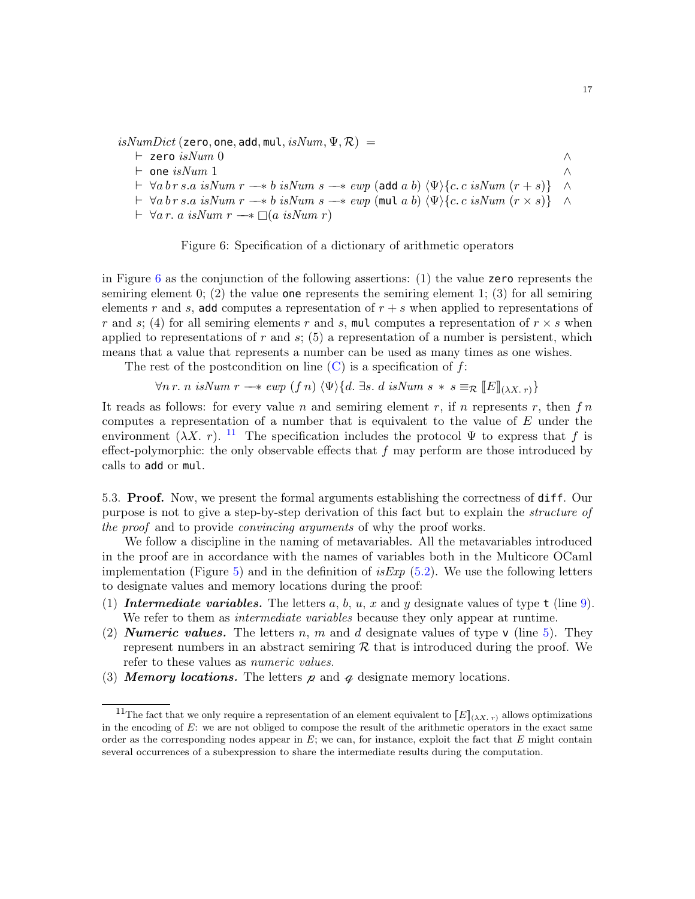$isNumDict$  (zero, one, add, mul,  $isNum, \Psi, \mathcal{R}) =$ 

- $\vdash$  zero  $isNum$  0  $\land$  $\vdash$  one isNum 1 ∧  $\vdash \forall ab \, r \, s.a \, isNum \, r \longrightarrow b \, isNum \, s \longrightarrow \exp ( \text{add } a \, b) \, \langle \Psi \rangle \{c.c \, isNum \, (r + s) \} \quad \land$  $\vdash \forall a \, b \, r \, s.a \, \text{isNum } r \longrightarrow b \, \text{isNum } s \longrightarrow \text{sup} \ (\text{mult } a \, b) \, \langle \Psi \rangle \{c. \, c \, \text{isNum } (r \times s) \}$
- $\vdash \forall a \, r. \, a \, isNum \, r \longrightarrow \Box(a \, isNum \, r)$

<span id="page-16-1"></span>

in Figure [6](#page-16-1) as the conjunction of the following assertions: (1) the value zero represents the semiring element 0; (2) the value **one** represents the semiring element 1; (3) for all semiring elements r and s, add computes a representation of  $r + s$  when applied to representations of r and s; (4) for all semiring elements r and s, mul computes a representation of  $r \times s$  when applied to representations of r and s;  $(5)$  a representation of a number is persistent, which means that a value that represents a number can be used as many times as one wishes.

The rest of the postcondition on line  $(C)$  $(C)$  $(C)$  is a specification of f:

 $\forall n \, r. \; n \; isNum \; r \rightarrow \exp(f \; n) \langle \Psi \rangle \{d. \exists s. \; d \; isNum \; s \; * \; s \equiv_{\mathcal{R}} [E]_{(\lambda X. \; r)} \}$ 

It reads as follows: for every value n and semiring element r, if n represents r, then  $fn$ computes a representation of a number that is equivalent to the value of  $E$  under the environment  $(\lambda X. r).$  <sup>[11](#page-16-2)</sup> The specification includes the protocol  $\Psi$  to express that f is effect-polymorphic: the only observable effects that  $f$  may perform are those introduced by calls to add or mul.

<span id="page-16-0"></span>5.3. Proof. Now, we present the formal arguments establishing the correctness of diff. Our purpose is not to give a step-by-step derivation of this fact but to explain the structure of the proof and to provide *convincing arguments* of why the proof works.

We follow a discipline in the naming of metavariables. All the metavariables introduced in the proof are in accordance with the names of variables both in the Multicore OCaml implementation (Figure [5\)](#page-7-0) and in the definition of *isExp* [\(5.2\)](#page-15-1). We use the following letters to designate values and memory locations during the proof:

- (1) Intermediate variables. The letters a, b, u, x and y designate values of type  $t$  (line [9\)](#page-7-3). We refer to them as *intermediate variables* because they only appear at runtime.
- (2) **Numeric values.** The letters n, m and d designate values of type v (line [5\)](#page-7-2). They represent numbers in an abstract semiring  $R$  that is introduced during the proof. We refer to these values as numeric values.
- (3) **Memory locations.** The letters  $\mu$  and  $\alpha$  designate memory locations.

<span id="page-16-2"></span><sup>&</sup>lt;sup>11</sup>The fact that we only require a representation of an element equivalent to  $[[E]]_{(\lambda X. r)}$  allows optimizations in the encoding of  $E$ : we are not obliged to compose the result of the arithmetic operators in the exact same order as the corresponding nodes appear in  $E$ ; we can, for instance, exploit the fact that  $E$  might contain several occurrences of a subexpression to share the intermediate results during the computation.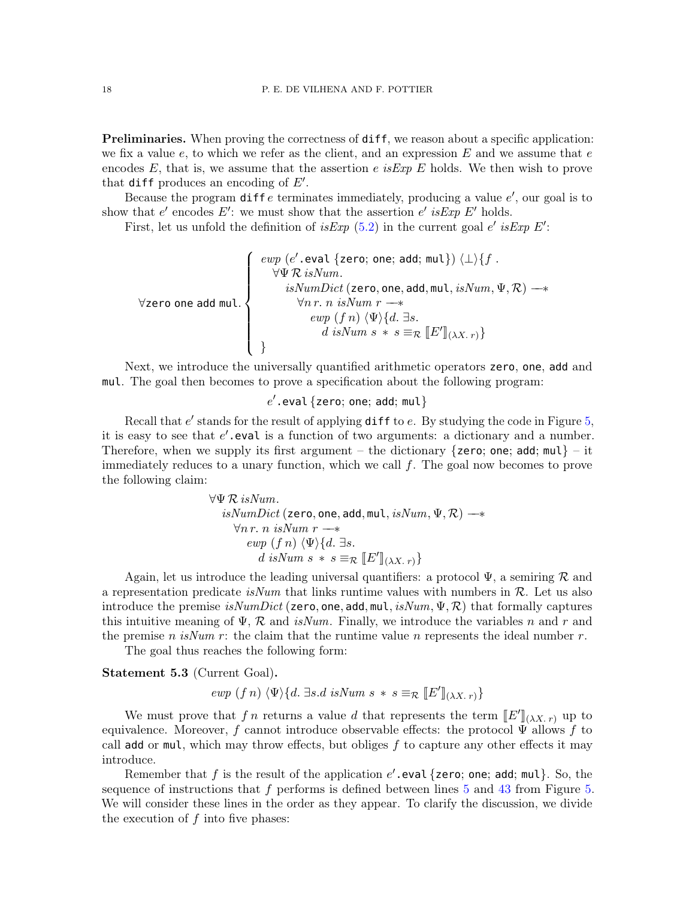Preliminaries. When proving the correctness of diff, we reason about a specific application: we fix a value  $e$ , to which we refer as the client, and an expression  $E$  and we assume that  $e$ encodes  $E$ , that is, we assume that the assertion e is Exp E holds. We then wish to prove that diff produces an encoding of  $E'$ .

Because the program  $\text{diff } e$  terminates immediately, producing a value  $e'$ , our goal is to show that  $e'$  encodes  $E'$ : we must show that the assertion  $e'$  is Exp  $E'$  holds.

First, let us unfold the definition of is Exp  $(5.2)$  in the current goal e' is Exp E':

$$
\forall \texttt{zero one add mul.} \left\{\begin{array}{c} \mathit{ewp}\ (\mathit{e}'.\ \mathtt{eval}\ \mathtt{zero};\ \mathtt{one};\ \mathtt{add};\ \mathtt{mul}\}) \ \langle \bot \rangle \{f\ . \\ \hspace{5mm}\forall \Psi\ \mathcal{R}\ isNum. \\ \hspace{5mm} isNumDict\ (\mathtt{zero},\ \mathtt{one},\ \mathtt{add},\ \mathtt{mul},\ isNum,\ \Psi,\mathcal{R}) \longrightarrow \\ \hspace{5mm} \forall n\ r.\ n\ isNum\ r \longrightarrow \\ \hspace{5mm} \mathit{ewp}\ (f\ n) \ \langle \Psi \rangle \{d.\ \exists s. \\ \hspace{5mm} \mathit{d}\ isNum\ s\ \ast\ s \equiv_{\mathcal{R}} \llbracket E' \rrbracket_{(\lambda X.\ r)} \} \end{array}\right.
$$

Next, we introduce the universally quantified arithmetic operators zero, one, add and mul. The goal then becomes to prove a specification about the following program:

 $e^\prime$ .eval $\{$ zero; one; add; mul $\}$ 

Recall that  $e'$  stands for the result of applying diff to  $e$ . By studying the code in Figure  $5$ , it is easy to see that  $e'$ .eval is a function of two arguments: a dictionary and a number. Therefore, when we supply its first argument – the dictionary  $\{$ zero; one; add; mul $\}$  – it immediately reduces to a unary function, which we call  $f$ . The goal now becomes to prove the following claim:

$$
\forall \Psi \mathcal{R} \ is Num.
$$
  
\n
$$
isNumDict \ (\text{zero, one, add, mul}, isNum, \Psi, \mathcal{R}) \longrightarrow
$$
  
\n
$$
\forall n \ r. \ n \ isNum \ r \longrightarrow
$$
  
\n
$$
ewp \ (f \ n) \ \langle \Psi \rangle \{d. \ \exists s.
$$
  
\n
$$
d \ is Num \ s \ * \ s \equiv_{\mathcal{R}} [E']_{(\lambda X. \ r)}
$$

Again, let us introduce the leading universal quantifiers: a protocol  $\Psi$ , a semiring R and a representation predicate isNum that links runtime values with numbers in  $\mathcal{R}$ . Let us also introduce the premise  $isNumDict$  (zero, one, add, mul,  $isNum, \Psi, \mathcal{R}$ ) that formally captures this intuitive meaning of  $\Psi$ ,  $\mathcal{R}$  and isNum. Finally, we introduce the variables n and r and the premise n isNum r: the claim that the runtime value n represents the ideal number r.

The goal thus reaches the following form:

Statement 5.3 (Current Goal).

$$
ewp (fn) \langle \Psi \rangle \{d. \exists s.d \ isNum \ s \ * \ s \equiv_{\mathcal{R}} [E']_{(\lambda X. r)} \}
$$

We must prove that f n returns a value d that represents the term  $[[E']](\lambda X, r)$  up to<br>welcome Moreover, f connect introduce observable effects; the protected  $\Psi$  allows f to equivalence. Moreover, f cannot introduce observable effects: the protocol  $\Psi$  allows f to call add or mul, which may throw effects, but obliges f to capture any other effects it may introduce.

Remember that f is the result of the application  $e'$ . eval {zero; one; add; mul}. So, the sequence of instructions that f performs is defined between lines  $5$  and  $43$  from Figure  $5$ . We will consider these lines in the order as they appear. To clarify the discussion, we divide the execution of  $f$  into five phases: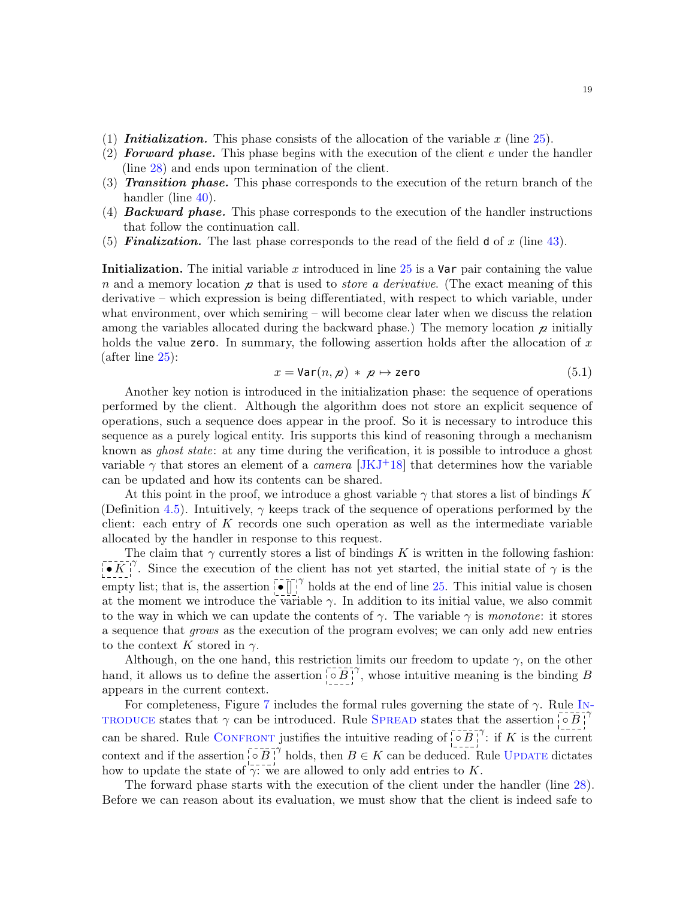- (1) **Initialization.** This phase consists of the allocation of the variable x (line  $25$ ).
- (2) **Forward phase.** This phase begins with the execution of the client e under the handler (line [28\)](#page-7-5) and ends upon termination of the client.
- (3) Transition phase. This phase corresponds to the execution of the return branch of the handler (line [40\)](#page-7-15).
- (4) **Backward phase.** This phase corresponds to the execution of the handler instructions that follow the continuation call.
- (5) **Finalization.** The last phase corresponds to the read of the field  $d$  of x (line [43\)](#page-7-4).

**Initialization.** The initial variable x introduced in line  $25$  is a Var pair containing the value n and a memory location  $\chi$  that is used to *store a derivative*. (The exact meaning of this derivative – which expression is being differentiated, with respect to which variable, under what environment, over which semiring – will become clear later when we discuss the relation among the variables allocated during the backward phase.) The memory location  $\chi$  initially holds the value zero. In summary, the following assertion holds after the allocation of  $x$ (after line [25\)](#page-7-13):

<span id="page-18-0"></span>
$$
x = \text{Var}(n, \mathbf{p}) \, * \, \mathbf{p} \mapsto \text{zero} \tag{5.1}
$$

Another key notion is introduced in the initialization phase: the sequence of operations performed by the client. Although the algorithm does not store an explicit sequence of operations, such a sequence does appear in the proof. So it is necessary to introduce this sequence as a purely logical entity. Iris supports this kind of reasoning through a mechanism known as ghost state: at any time during the verification, it is possible to introduce a ghost variable  $\gamma$  that stores an element of a *camera* [\[JKJ](#page-29-1)+18] that determines how the variable can be updated and how its contents can be shared.

At this point in the proof, we introduce a ghost variable  $\gamma$  that stores a list of bindings K (Definition [4.5\)](#page-12-1). Intuitively,  $\gamma$  keeps track of the sequence of operations performed by the client: each entry of  $K$  records one such operation as well as the intermediate variable allocated by the handler in response to this request.

The claim that  $\gamma$  currently stores a list of bindings K is written in the following fashion:  $\bullet K^{\gamma\gamma}$ . Since the execution of the client has not yet started, the initial state of  $\gamma$  is the empty list; that is, the assertion  $\begin{bmatrix} -1 \\ 1 \end{bmatrix}^{\gamma}$  holds at the end of line [25.](#page-7-13) This initial value is chosen at the moment we introduce the variable  $\gamma$ . In addition to its initial value, we also commit to the way in which we can update the contents of  $\gamma$ . The variable  $\gamma$  is monotone: it stores a sequence that grows as the execution of the program evolves; we can only add new entries to the context K stored in  $\gamma$ .

Although, on the one hand, this restriction limits our freedom to update  $\gamma$ , on the other hand, it allows us to define the assertion  $\overline{|\circ B|}^{\gamma}$ , whose intuitive meaning is the binding B appears in the current context.

For completeness, Figure [7](#page-19-0) includes the formal rules governing the state of  $\gamma$ . Rule IN-TRODUCE states that  $\gamma$  can be in[troduce](#page-19-1)d. Rule SPREAD states that the assertion  $\begin{bmatrix} 0 & B \end{bmatrix}^{\gamma}$ can be shared. Rule CONFRONT justifies the intuitive reading of  $\overline{S} \overline{B}$ <sup> $\gamma$ </sup>: if K is the current context and if the assertion  $\overline{\otimes B}$ <sup> $\gamma$ </sup> holds, then  $B \in K$  can be deduced. Rule UPDATE dictates how to update the state of  $\gamma$ : we are allowed to only add entries to K.

The forward phase starts with the execution of the client under the handler (line [28\)](#page-7-5). Before we can reason about its evaluation, we must show that the client is indeed safe to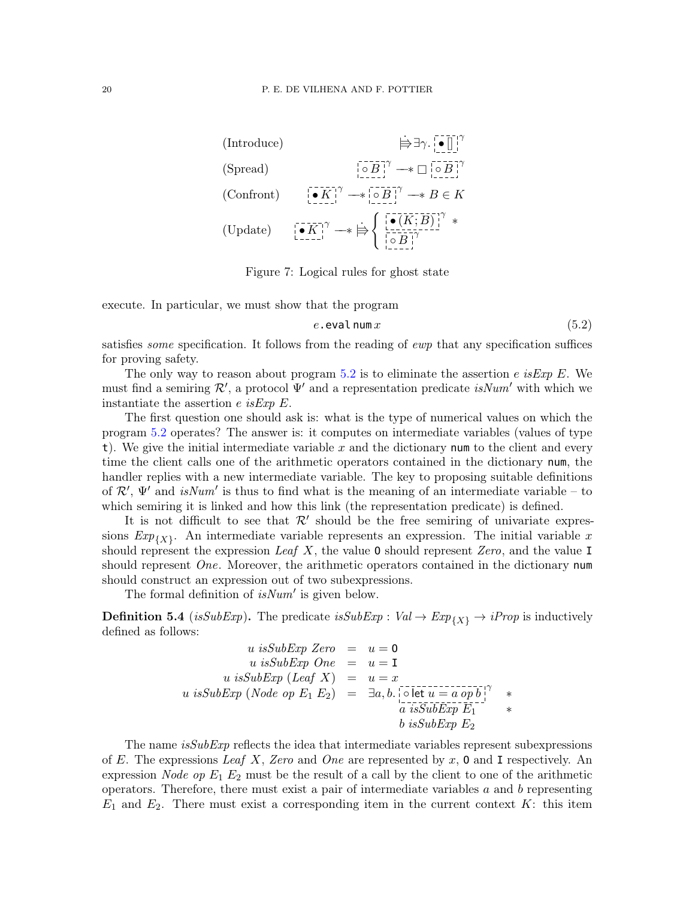<span id="page-19-3"></span><span id="page-19-2"></span><span id="page-19-1"></span>(Introduce)

\n
$$
\Rightarrow \exists \gamma \cdot \begin{bmatrix} \bullet & \cdots \end{bmatrix}^{\gamma}
$$
\n(Spread)

\n
$$
\begin{bmatrix} \bullet & \cdots & \bullet & \bullet \end{bmatrix}^{\gamma} \longrightarrow \Box \begin{bmatrix} \bullet & \cdots & \bullet & \bullet \end{bmatrix}^{\gamma}
$$
\n(Confront)

\n
$$
\begin{bmatrix} \bullet & \cdots & \bullet & \bullet & \bullet \end{bmatrix}^{\gamma} \longrightarrow \Box \begin{bmatrix} \bullet & \cdots & \bullet & \bullet & \bullet \end{bmatrix}^{\gamma} \longrightarrow B \in K
$$
\n(Update)

\n
$$
\begin{bmatrix} \bullet & \cdots & \bullet & \bullet & \bullet \end{bmatrix}^{\gamma} \longrightarrow \bigoplus \begin{bmatrix} \begin{bmatrix} \bullet & \cdots & \bullet & \bullet & \bullet \end{bmatrix}^{\gamma} \end{bmatrix}^{\gamma} \times
$$

<span id="page-19-4"></span><span id="page-19-0"></span>Figure 7: Logical rules for ghost state

execute. In particular, we must show that the program

<span id="page-19-5"></span>
$$
e.\text{eval num } x \tag{5.2}
$$

satisfies *some* specification. It follows from the reading of ewp that any specification suffices for proving safety.

The only way to reason about program [5.2](#page-19-5) is to eliminate the assertion e is Exp E. We must find a semiring  $\mathcal{R}'$ , a protocol  $\Psi'$  and a representation predicate *isNum'* with which we instantiate the assertion e is Exp  $E$ .

The first question one should ask is: what is the type of numerical values on which the program [5.2](#page-19-5) operates? The answer is: it computes on intermediate variables (values of type t). We give the initial intermediate variable  $x$  and the dictionary num to the client and every time the client calls one of the arithmetic operators contained in the dictionary num, the handler replies with a new intermediate variable. The key to proposing suitable definitions of  $\mathcal{R}'$ ,  $\Psi'$  and isNum' is thus to find what is the meaning of an intermediate variable – to which semiring it is linked and how this link (the representation predicate) is defined.

It is not difficult to see that  $\mathcal{R}'$  should be the free semiring of univariate expressions  $Exp_{\{X\}}$ . An intermediate variable represents an expression. The initial variable x should represent the expression Leaf X, the value 0 should represent Zero, and the value I should represent  $One$ . Moreover, the arithmetic operators contained in the dictionary num should construct an expression out of two subexpressions.

The formal definition of  $isNum'$  is given below.

<span id="page-19-6"></span>**Definition 5.4** (isSubExp). The predicate isSubExp :  $Val \rightarrow Exp_{\{X\}} \rightarrow iProp$  is inductively defined as follows:

$$
u \text{ isSubExp Zero} = u = 0
$$
  
\n
$$
u \text{ isSubExp One} = u = 1
$$
  
\n
$$
u \text{ isSubExp (Leaf X)} = u = x
$$
  
\n
$$
u \text{ isSubExp (Node op } E_1 E_2) = \exists a, b. \text{ det } u = a op b \text{ is SubExp } E_1
$$
  
\n
$$
b \text{ isSubExp } E_2
$$

The name  $isSubExp$  reflects the idea that intermediate variables represent subexpressions of E. The expressions Leaf X, Zero and One are represented by x, 0 and I respectively. An expression *Node op*  $E_1$   $E_2$  must be the result of a call by the client to one of the arithmetic operators. Therefore, there must exist a pair of intermediate variables  $a$  and  $b$  representing  $E_1$  and  $E_2$ . There must exist a corresponding item in the current context K: this item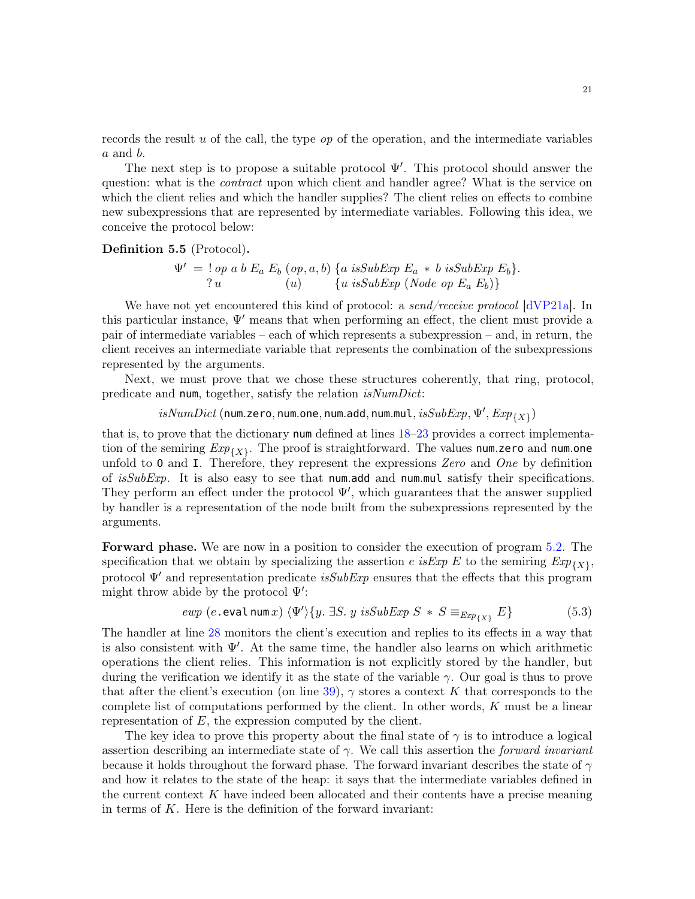records the result u of the call, the type  $op$  of the operation, and the intermediate variables a and b.

The next step is to propose a suitable protocol  $\Psi'$ . This protocol should answer the question: what is the *contract* upon which client and handler agree? What is the service on which the client relies and which the handler supplies? The client relies on effects to combine new subexpressions that are represented by intermediate variables. Following this idea, we conceive the protocol below:

### Definition 5.5 (Protocol).

$$
\Psi' = \text{! op a b } E_a E_b \text{ (op, a, b) } \{a \text{ isSubExp } E_a * b \text{ isSubExp } E_b \}.
$$
  
\n?  $u$  (u)  $\{u \text{ isSubExp (Node op } E_a E_b) \}$ 

We have not yet encountered this kind of protocol: a send/receive protocol [\[dVP21a\]](#page-29-2). In this particular instance,  $\Psi'$  means that when performing an effect, the client must provide a pair of intermediate variables – each of which represents a subexpression – and, in return, the client receives an intermediate variable that represents the combination of the subexpressions represented by the arguments.

Next, we must prove that we chose these structures coherently, that ring, protocol, predicate and num, together, satisfy the relation isNumDict:

 $is NumDict$  (num.zero, num.one, num.add, num.mul,  $isSubExp, \Psi', Exp_{\{X\}})$ 

that is, to prove that the dictionary num defined at lines [18–](#page-7-12)[23](#page-7-7) provides a correct implementation of the semiring  $Exp_{\{X\}}$ . The proof is straightforward. The values num.zero and num.one unfold to  $\mathbf 0$  and  $\mathbf I$ . Therefore, they represent the expressions Zero and One by definition of  $isSubExp$ . It is also easy to see that num.add and num.mul satisfy their specifications. They perform an effect under the protocol  $\Psi'$ , which guarantees that the answer supplied by handler is a representation of the node built from the subexpressions represented by the arguments.

Forward phase. We are now in a position to consider the execution of program [5.2.](#page-19-5) The specification that we obtain by specializing the assertion e is Exp E to the semiring  $Exp_{\{X\}}$ , protocol  $\Psi'$  and representation predicate is  $SubExp$  ensures that the effects that this program might throw abide by the protocol  $\Psi'$ :

<span id="page-20-0"></span>
$$
ewp \ (e.\text{eval num }x) \ \langle \Psi' \rangle \{ y.\ \exists S.\ y\ isSubExp \ S\ * \ S \equiv_{Exp_{\{X\}}} E \} \tag{5.3}
$$

The handler at line [28](#page-7-5) monitors the client's execution and replies to its effects in a way that is also consistent with  $\Psi'$ . At the same time, the handler also learns on which arithmetic operations the client relies. This information is not explicitly stored by the handler, but during the verification we identify it as the state of the variable  $\gamma$ . Our goal is thus to prove that after the client's execution (on line [39\)](#page-7-25),  $\gamma$  stores a context K that corresponds to the complete list of computations performed by the client. In other words,  $K$  must be a linear representation of  $E$ , the expression computed by the client.

The key idea to prove this property about the final state of  $\gamma$  is to introduce a logical assertion describing an intermediate state of  $\gamma$ . We call this assertion the *forward invariant* because it holds throughout the forward phase. The forward invariant describes the state of  $\gamma$ and how it relates to the state of the heap: it says that the intermediate variables defined in the current context  $K$  have indeed been allocated and their contents have a precise meaning in terms of  $K$ . Here is the definition of the forward invariant: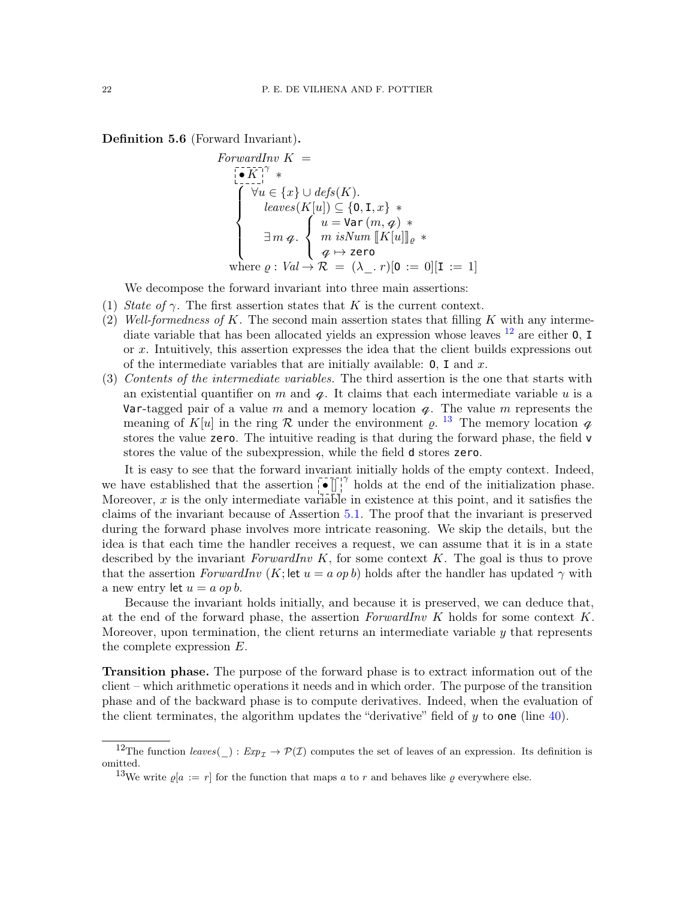<span id="page-21-2"></span>Definition 5.6 (Forward Invariant).

$$
ForwardInv K =
$$
\n
$$
\begin{cases}\n\begin{aligned}\n\begin{bmatrix}\n\mathbf{v} & \mathbf{w} \\
\mathbf{v} & \mathbf{w}\n\end{bmatrix}^{\mathcal{H}} & * \\
\hline\n\begin{bmatrix}\n\forall u \in \{x\} \cup def s(K) \\
\mathbf{v} & \mathbf{w}\n\end{bmatrix} & \subseteq \{0, \mathbf{I}, x\} \end{cases} \quad \mathbf{a} \\
\text{leaves}(K[u]) \subseteq \{0, \mathbf{I}, x\} \end{cases} \\
\exists m \, q. \begin{cases}\nu = \text{Var}(m, q) \cdot \\
m \, isNum \left[ K[u] \right]_{\varrho} \cdot \\
q \mapsto \text{zero} \\
q \mapsto \text{zero}\n\end{cases} \\
\text{where } \varrho: Val \to \mathcal{R} = (\lambda_-, r)[0 := 0][\mathbf{I} := 1]\n\end{cases}
$$

We decompose the forward invariant into three main assertions:

- (1) State of  $\gamma$ . The first assertion states that K is the current context.
- (2) Well-formedness of K. The second main assertion states that filling K with any intermediate variable that has been allocated yields an expression whose leaves  $^{12}$  $^{12}$  $^{12}$  are either 0, I or  $x$ . Intuitively, this assertion expresses the idea that the client builds expressions out of the intermediate variables that are initially available:  $0$ , I and x.
- (3) Contents of the intermediate variables. The third assertion is the one that starts with an existential quantifier on  $m$  and  $q$ . It claims that each intermediate variable  $u$  is a Var-tagged pair of a value m and a memory location  $q$ . The value m represents the meaning of  $K[u]$  in the ring R under the environment  $\varrho$ . <sup>[13](#page-21-1)</sup> The memory location  $\varphi$ stores the value zero. The intuitive reading is that during the forward phase, the field v stores the value of the subexpression, while the field d stores zero.

It is easy to see that the forward invariant initially holds of the empty context. Indeed, we have established that the assertion  $\overline{\left[\bullet\right]}$  holds at the end of the initialization phase. Moreover,  $x$  is the only intermediate variable in existence at this point, and it satisfies the claims of the invariant because of Assertion [5.1.](#page-18-0) The proof that the invariant is preserved during the forward phase involves more intricate reasoning. We skip the details, but the idea is that each time the handler receives a request, we can assume that it is in a state described by the invariant ForwardInv  $K$ , for some context  $K$ . The goal is thus to prove that the assertion ForwardInv (K; let  $u = a$  op b) holds after the handler has updated  $\gamma$  with a new entry let  $u = a$  op b.

Because the invariant holds initially, and because it is preserved, we can deduce that, at the end of the forward phase, the assertion ForwardInv  $K$  holds for some context  $K$ . Moreover, upon termination, the client returns an intermediate variable  $y$  that represents the complete expression E.

Transition phase. The purpose of the forward phase is to extract information out of the client – which arithmetic operations it needs and in which order. The purpose of the transition phase and of the backward phase is to compute derivatives. Indeed, when the evaluation of the client terminates, the algorithm updates the "derivative" field of  $y$  to one (line [40\)](#page-7-15).

<span id="page-21-0"></span><sup>&</sup>lt;sup>12</sup>The function *leaves*() :  $Exp_\tau \to \mathcal{P}(\mathcal{I})$  computes the set of leaves of an expression. Its definition is omitted.

<span id="page-21-1"></span><sup>&</sup>lt;sup>13</sup>We write  $\varrho[a] := r$  for the function that maps a to r and behaves like  $\varrho$  everywhere else.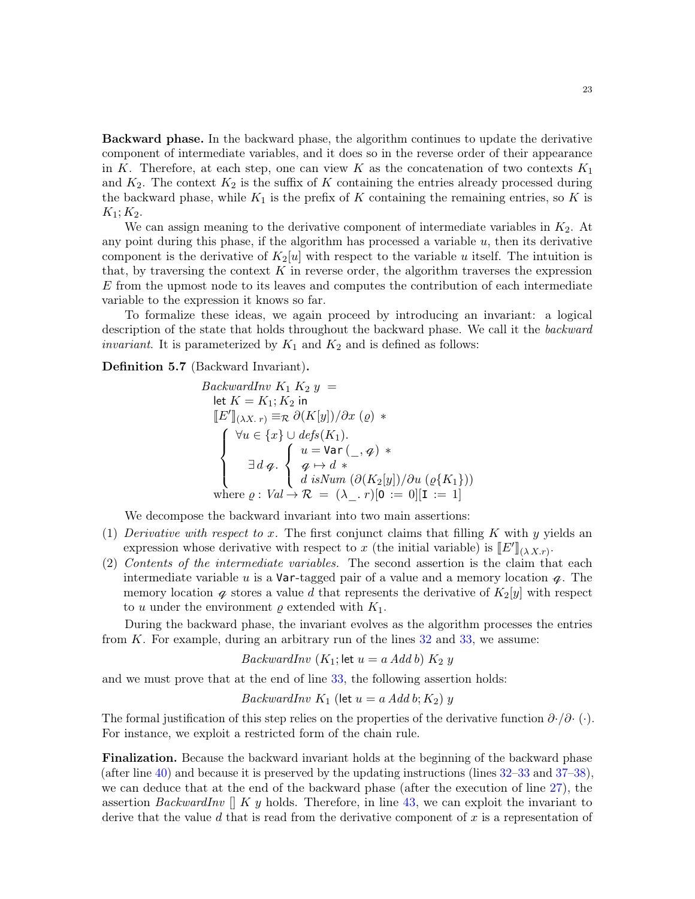Backward phase. In the backward phase, the algorithm continues to update the derivative component of intermediate variables, and it does so in the reverse order of their appearance in K. Therefore, at each step, one can view K as the concatenation of two contexts  $K_1$ and  $K_2$ . The context  $K_2$  is the suffix of K containing the entries already processed during the backward phase, while  $K_1$  is the prefix of K containing the remaining entries, so K is  $K_1; K_2.$ 

We can assign meaning to the derivative component of intermediate variables in  $K_2$ . At any point during this phase, if the algorithm has processed a variable  $u$ , then its derivative component is the derivative of  $K_2[u]$  with respect to the variable u itself. The intuition is that, by traversing the context  $K$  in reverse order, the algorithm traverses the expression E from the upmost node to its leaves and computes the contribution of each intermediate variable to the expression it knows so far.

To formalize these ideas, we again proceed by introducing an invariant: a logical description of the state that holds throughout the backward phase. We call it the backward *invariant*. It is parameterized by  $K_1$  and  $K_2$  and is defined as follows:

<span id="page-22-0"></span>Definition 5.7 (Backward Invariant).

$$
BackwardInv K_1 K_2 y =
$$
  
\nlet  $K = K_1; K_2$  in  
\n
$$
[E']_{(\lambda X. r)} \equiv \mathcal{R} \partial (K[y]) / \partial x (g) *
$$
  
\n
$$
\begin{cases}\n\forall u \in \{x\} \cup defs(K_1). \\
u = \text{Var}(\_, \mathcal{A}) * \\
\exists d \varphi. \begin{cases}\nu = \text{Var}(\_, \mathcal{A}) * \\
\varphi \mapsto d * \\
d \isNum \left(\partial (K_2[y]) / \partial u (\varrho \{K_1\})\right) \\
\text{where } \varrho: Val \rightarrow \mathcal{R} = (\lambda_-, r)[0 := 0][1 := 1]\n\end{cases}\n\end{cases}
$$

We decompose the backward invariant into two main assertions:

- (1) Derivative with respect to x. The first conjunct claims that filling K with y yields an expression whose derivative with respect to x (the initial variable) is  $\llbracket E' \rrbracket_{(\lambda X,r)}$ .<br>Contents of the intermediate variables. The second assortion is the elements
- (2) Contents of the intermediate variables. The second assertion is the claim that each intermediate variable u is a Var-tagged pair of a value and a memory location  $q$ . The memory location  $\varphi$  stores a value d that represents the derivative of  $K_2[y]$  with respect to u under the environment  $\rho$  extended with  $K_1$ .

During the backward phase, the invariant evolves as the algorithm processes the entries from  $K$ . For example, during an arbitrary run of the lines  $32$  and  $33$ , we assume:

$$
BackwardInv (K1; let u = a Add b) K2 y
$$

and we must prove that at the end of line [33,](#page-7-27) the following assertion holds:

$$
BackwardInv~K_1 \text{ (let } u = a \text{ Add } b; K_2) y
$$

The formal justification of this step relies on the properties of the derivative function  $\partial \cdot / \partial \cdot (\cdot)$ . For instance, we exploit a restricted form of the chain rule.

Finalization. Because the backward invariant holds at the beginning of the backward phase (after line [40\)](#page-7-15) and because it is preserved by the updating instructions (lines [32–](#page-7-26)[33](#page-7-27) and [37–](#page-7-28)[38\)](#page-7-29), we can deduce that at the end of the backward phase (after the execution of line [27\)](#page-7-14), the assertion *BackwardInv*  $\parallel$  K y holds. Therefore, in line [43,](#page-7-4) we can exploit the invariant to derive that the value  $d$  that is read from the derivative component of  $x$  is a representation of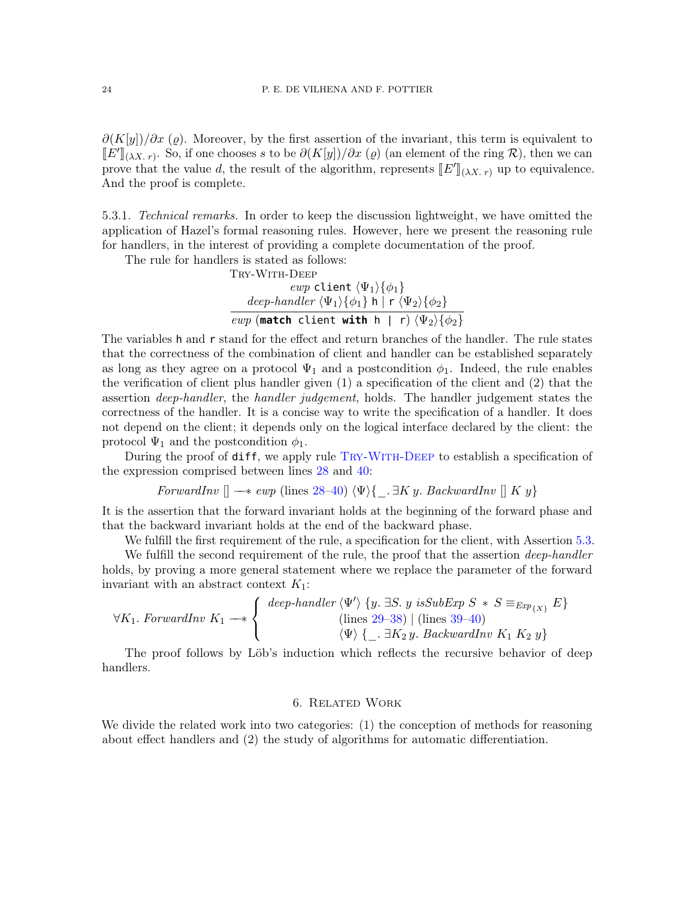$\partial (K[y])/\partial x$  ( $\varrho$ ). Moreover, by the first assertion of the invariant, this term is equivalent to  $\llbracket E' \rrbracket_{(\lambda X, r)}$ . So, if one chooses s to be  $\partial (K[y]) / \partial x$  ( $\varrho$ ) (an element of the ring  $\mathcal{R}$ ), then we can prove that the value d, the result of the algorithm, represents  $[[E']_{(\lambda X, r)}$  up to equivalence. And the proof is complete.

5.3.1. Technical remarks. In order to keep the discussion lightweight, we have omitted the application of Hazel's formal reasoning rules. However, here we present the reasoning rule for handlers, in the interest of providing a complete documentation of the proof.

The rule for handlers is stated as follows:

<span id="page-23-0"></span>TRY-WITH-DEEP

\n
$$
evp \text{ client } \langle \Psi_1 \rangle \{\phi_1\}
$$

\n
$$
deep-handler \langle \Psi_1 \rangle \{\phi_1\} \text{ h } | \text{ r } \langle \Psi_2 \rangle \{\phi_2\}
$$

\n
$$
evp \text{ (match client with h } | \text{ r } \langle \Psi_2 \rangle \{\phi_2\}
$$

The variables h and r stand for the effect and return branches of the handler. The rule states that the correctness of the combination of client and handler can be established separately as long as they agree on a protocol  $\Psi_1$  and a postcondition  $\phi_1$ . Indeed, the rule enables the verification of client plus handler given (1) a specification of the client and (2) that the assertion deep-handler, the handler judgement, holds. The handler judgement states the correctness of the handler. It is a concise way to write the specification of a handler. It does not depend on the client; it depends only on the logical interface declared by the client: the protocol  $\Psi_1$  and the postcondition  $\phi_1$ .

During the proof of **diff**, we apply rule TRY-WITH-DEEP to establish a specification of the expression comprised between lines [28](#page-7-5) and [40:](#page-7-15)

$$
ForwardInv \parallel \longrightarrow \text{ewp (lines 28–40) } \langle \Psi \rangle \{-\exists Ky. \text{ BackwardInv} \parallel Ky\}
$$

It is the assertion that the forward invariant holds at the beginning of the forward phase and that the backward invariant holds at the end of the backward phase.

We fulfill the first requirement of the rule, a specification for the client, with Assertion [5.3.](#page-20-0)

We fulfill the second requirement of the rule, the proof that the assertion *deep-handler* holds, by proving a more general statement where we replace the parameter of the forward invariant with an abstract context  $K_1$ :

$$
\forall K_1. \; ForwardInv \; K_1 \longrightarrow \left\{ \begin{array}{c} deep-handler \langle \Psi' \rangle \{y. \; \exists S. \; y \; isSubExp \; S \; * \; S \equiv_{Exp_{\{X\}}} E \} \\ \text{(lines 29–38)} \mid \text{(lines 39–40)} \\ \langle \Psi \rangle \{ \_, \exists K_2 \; y. \; BackwardInv \; K_1 \; K_2 \; y \} \end{array} \right.
$$

The proof follows by Löb's induction which reflects the recursive behavior of deep handlers.

### 6. Related Work

We divide the related work into two categories: (1) the conception of methods for reasoning about effect handlers and (2) the study of algorithms for automatic differentiation.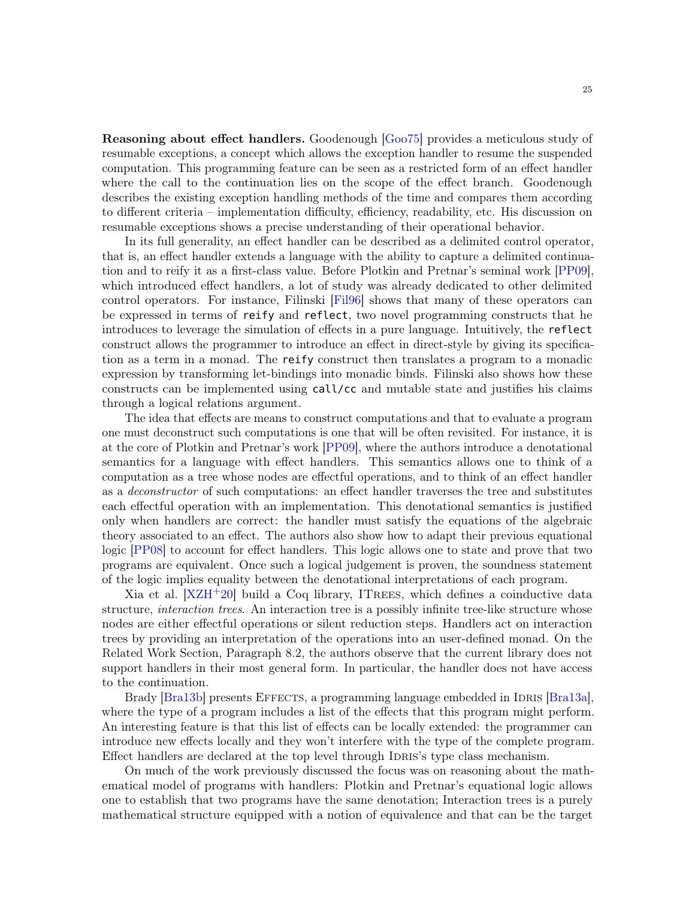Reasoning about effect handlers. Goodenough [\[Goo75\]](#page-29-18) provides a meticulous study of resumable exceptions, a concept which allows the exception handler to resume the suspended computation. This programming feature can be seen as a restricted form of an effect handler where the call to the continuation lies on the scope of the effect branch. Goodenough describes the existing exception handling methods of the time and compares them according to different criteria – implementation difficulty, efficiency, readability, etc. His discussion on resumable exceptions shows a precise understanding of their operational behavior.

In its full generality, an effect handler can be described as a delimited control operator, that is, an effect handler extends a language with the ability to capture a delimited continuation and to reify it as a first-class value. Before Plotkin and Pretnar's seminal work [\[PP09\]](#page-30-10), which introduced effect handlers, a lot of study was already dedicated to other delimited control operators. For instance, Filinski [\[Fil96\]](#page-29-19) shows that many of these operators can be expressed in terms of reify and reflect, two novel programming constructs that he introduces to leverage the simulation of effects in a pure language. Intuitively, the reflect construct allows the programmer to introduce an effect in direct-style by giving its specification as a term in a monad. The reify construct then translates a program to a monadic expression by transforming let-bindings into monadic binds. Filinski also shows how these constructs can be implemented using call/cc and mutable state and justifies his claims through a logical relations argument.

The idea that effects are means to construct computations and that to evaluate a program one must deconstruct such computations is one that will be often revisited. For instance, it is at the core of Plotkin and Pretnar's work [\[PP09\]](#page-30-10), where the authors introduce a denotational semantics for a language with effect handlers. This semantics allows one to think of a computation as a tree whose nodes are effectful operations, and to think of an effect handler as a deconstructor of such computations: an effect handler traverses the tree and substitutes each effectful operation with an implementation. This denotational semantics is justified only when handlers are correct: the handler must satisfy the equations of the algebraic theory associated to an effect. The authors also show how to adapt their previous equational logic [\[PP08\]](#page-29-20) to account for effect handlers. This logic allows one to state and prove that two programs are equivalent. Once such a logical judgement is proven, the soundness statement of the logic implies equality between the denotational interpretations of each program.

Xia et al.  $[XZH^+20]$  $[XZH^+20]$  build a Coq library, ITREES, which defines a coinductive data structure, *interaction trees*. An interaction tree is a possibly infinite tree-like structure whose nodes are either effectful operations or silent reduction steps. Handlers act on interaction trees by providing an interpretation of the operations into an user-defined monad. On the Related Work Section, Paragraph 8.2, the authors observe that the current library does not support handlers in their most general form. In particular, the handler does not have access to the continuation.

Brady [\[Bra13b\]](#page-28-6) presents EFFECTS, a programming language embedded in IDRIS [\[Bra13a\]](#page-28-7), where the type of a program includes a list of the effects that this program might perform. An interesting feature is that this list of effects can be locally extended: the programmer can introduce new effects locally and they won't interfere with the type of the complete program. Effect handlers are declared at the top level through IDRIS's type class mechanism.

On much of the work previously discussed the focus was on reasoning about the mathematical model of programs with handlers: Plotkin and Pretnar's equational logic allows one to establish that two programs have the same denotation; Interaction trees is a purely mathematical structure equipped with a notion of equivalence and that can be the target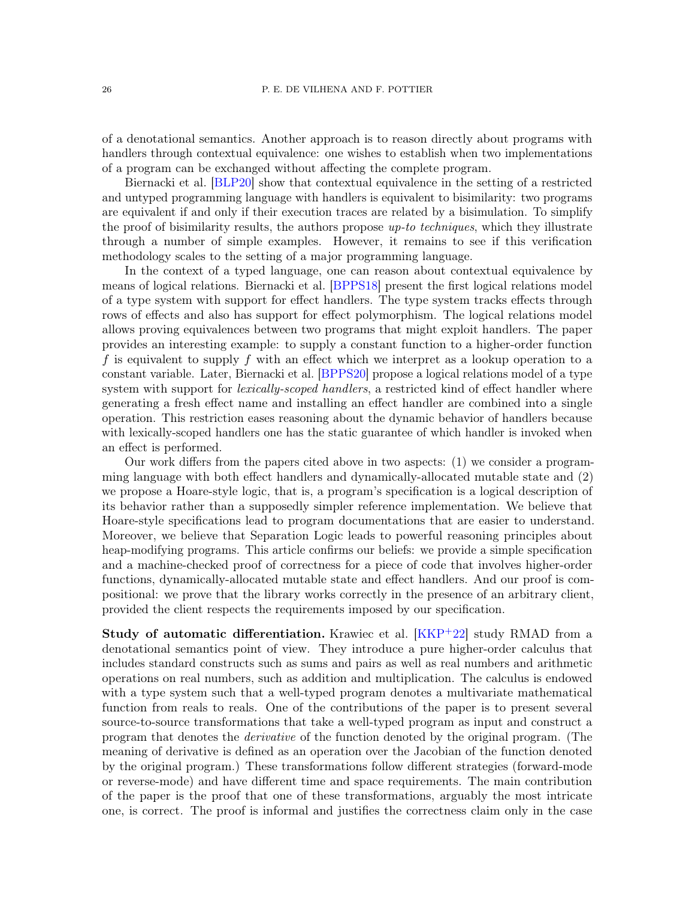of a denotational semantics. Another approach is to reason directly about programs with handlers through contextual equivalence: one wishes to establish when two implementations of a program can be exchanged without affecting the complete program.

Biernacki et al. [\[BLP20\]](#page-28-8) show that contextual equivalence in the setting of a restricted and untyped programming language with handlers is equivalent to bisimilarity: two programs are equivalent if and only if their execution traces are related by a bisimulation. To simplify the proof of bisimilarity results, the authors propose  $up-to-techniques$ , which they illustrate through a number of simple examples. However, it remains to see if this verification methodology scales to the setting of a major programming language.

In the context of a typed language, one can reason about contextual equivalence by means of logical relations. Biernacki et al. [\[BPPS18\]](#page-28-9) present the first logical relations model of a type system with support for effect handlers. The type system tracks effects through rows of effects and also has support for effect polymorphism. The logical relations model allows proving equivalences between two programs that might exploit handlers. The paper provides an interesting example: to supply a constant function to a higher-order function f is equivalent to supply f with an effect which we interpret as a lookup operation to a constant variable. Later, Biernacki et al. [\[BPPS20\]](#page-28-10) propose a logical relations model of a type system with support for *lexically-scoped handlers*, a restricted kind of effect handler where generating a fresh effect name and installing an effect handler are combined into a single operation. This restriction eases reasoning about the dynamic behavior of handlers because with lexically-scoped handlers one has the static guarantee of which handler is invoked when an effect is performed.

Our work differs from the papers cited above in two aspects: (1) we consider a programming language with both effect handlers and dynamically-allocated mutable state and (2) we propose a Hoare-style logic, that is, a program's specification is a logical description of its behavior rather than a supposedly simpler reference implementation. We believe that Hoare-style specifications lead to program documentations that are easier to understand. Moreover, we believe that Separation Logic leads to powerful reasoning principles about heap-modifying programs. This article confirms our beliefs: we provide a simple specification and a machine-checked proof of correctness for a piece of code that involves higher-order functions, dynamically-allocated mutable state and effect handlers. And our proof is compositional: we prove that the library works correctly in the presence of an arbitrary client, provided the client respects the requirements imposed by our specification.

**Study of automatic differentiation.** Krawiec et al. [\[KKP](#page-29-21)<sup>+</sup>22] study RMAD from a denotational semantics point of view. They introduce a pure higher-order calculus that includes standard constructs such as sums and pairs as well as real numbers and arithmetic operations on real numbers, such as addition and multiplication. The calculus is endowed with a type system such that a well-typed program denotes a multivariate mathematical function from reals to reals. One of the contributions of the paper is to present several source-to-source transformations that take a well-typed program as input and construct a program that denotes the derivative of the function denoted by the original program. (The meaning of derivative is defined as an operation over the Jacobian of the function denoted by the original program.) These transformations follow different strategies (forward-mode or reverse-mode) and have different time and space requirements. The main contribution of the paper is the proof that one of these transformations, arguably the most intricate one, is correct. The proof is informal and justifies the correctness claim only in the case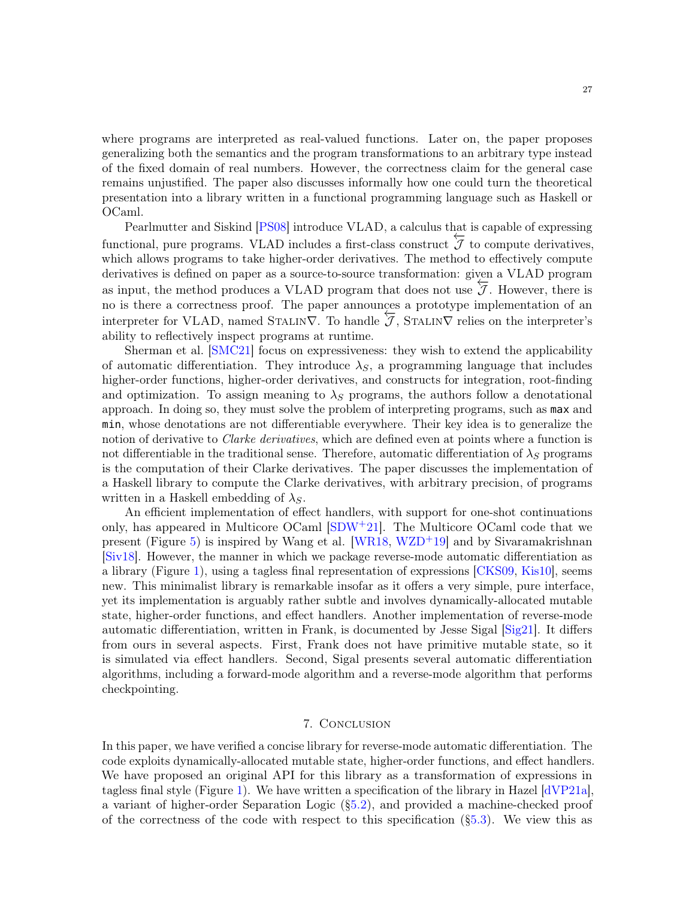where programs are interpreted as real-valued functions. Later on, the paper proposes generalizing both the semantics and the program transformations to an arbitrary type instead of the fixed domain of real numbers. However, the correctness claim for the general case remains unjustified. The paper also discusses informally how one could turn the theoretical presentation into a library written in a functional programming language such as Haskell or OCaml.

Pearlmutter and Siskind [\[PS08\]](#page-30-12) introduce VLAD, a calculus that is capable of expressing functional, pure programs. VLAD includes a first-class construct  $\overline{J}$  to compute derivatives, which allows programs to take higher-order derivatives. The method to effectively compute derivatives is defined on paper as a source-to-source transformation: given a VLAD program as input, the method produces a VLAD program that does not use  $\overline{J}$ . However, there is no is there a correctness proof. The paper announces a prototype implementation of an interpreter for VLAD, named STALIN $\nabla$ . To handle  $\overline{\mathcal{J}}$ , STALIN $\nabla$  relies on the interpreter's ability to reflectively inspect programs at runtime.

Sherman et al. [\[SMC21\]](#page-30-13) focus on expressiveness: they wish to extend the applicability of automatic differentiation. They introduce  $\lambda_{\mathcal{S}}$ , a programming language that includes higher-order functions, higher-order derivatives, and constructs for integration, root-finding and optimization. To assign meaning to  $\lambda_S$  programs, the authors follow a denotational approach. In doing so, they must solve the problem of interpreting programs, such as max and min, whose denotations are not differentiable everywhere. Their key idea is to generalize the notion of derivative to *Clarke derivatives*, which are defined even at points where a function is not differentiable in the traditional sense. Therefore, automatic differentiation of  $\lambda_S$  programs is the computation of their Clarke derivatives. The paper discusses the implementation of a Haskell library to compute the Clarke derivatives, with arbitrary precision, of programs written in a Haskell embedding of  $\lambda_S$ .

An efficient implementation of effect handlers, with support for one-shot continuations only, has appeared in Multicore OCaml [\[SDW](#page-30-14)+21]. The Multicore OCaml code that we present (Figure [5\)](#page-7-0) is inspired by Wang et al. [\[WR18,](#page-30-0) [WZD](#page-30-1)<sup>+19]</sup> and by Sivaramakrishnan [\[Siv18\]](#page-30-3). However, the manner in which we package reverse-mode automatic differentiation as a library (Figure [1\)](#page-2-1), using a tagless final representation of expressions [\[CKS09,](#page-28-0) [Kis10\]](#page-29-8), seems new. This minimalist library is remarkable insofar as it offers a very simple, pure interface, yet its implementation is arguably rather subtle and involves dynamically-allocated mutable state, higher-order functions, and effect handlers. Another implementation of reverse-mode automatic differentiation, written in Frank, is documented by Jesse Sigal [\[Sig21\]](#page-30-4). It differs from ours in several aspects. First, Frank does not have primitive mutable state, so it is simulated via effect handlers. Second, Sigal presents several automatic differentiation algorithms, including a forward-mode algorithm and a reverse-mode algorithm that performs checkpointing.

## 7. Conclusion

<span id="page-26-0"></span>In this paper, we have verified a concise library for reverse-mode automatic differentiation. The code exploits dynamically-allocated mutable state, higher-order functions, and effect handlers. We have proposed an original API for this library as a transformation of expressions in tagless final style (Figure [1\)](#page-2-1). We have written a specification of the library in Hazel  $\left[\text{dVP21a}\right]$ , a variant of higher-order Separation Logic ([§5.2\)](#page-15-0), and provided a machine-checked proof of the correctness of the code with respect to this specification  $(\S5.3)$ . We view this as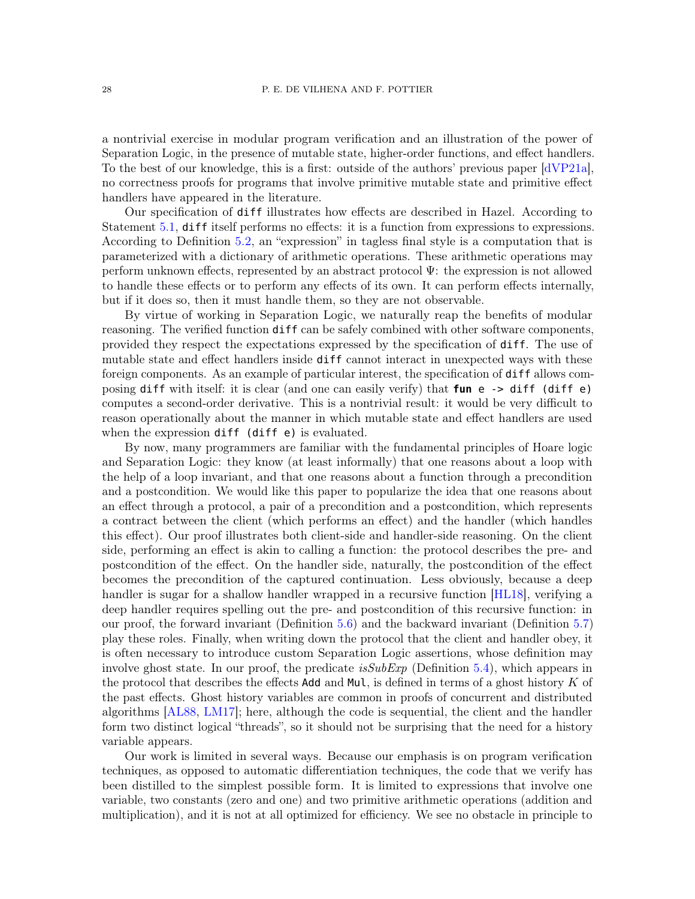a nontrivial exercise in modular program verification and an illustration of the power of Separation Logic, in the presence of mutable state, higher-order functions, and effect handlers. To the best of our knowledge, this is a first: outside of the authors' previous paper [\[dVP21a\]](#page-29-2), no correctness proofs for programs that involve primitive mutable state and primitive effect handlers have appeared in the literature.

Our specification of diff illustrates how effects are described in Hazel. According to Statement [5.1,](#page-15-5) diff itself performs no effects: it is a function from expressions to expressions. According to Definition [5.2,](#page-15-1) an "expression" in tagless final style is a computation that is parameterized with a dictionary of arithmetic operations. These arithmetic operations may perform unknown effects, represented by an abstract protocol Ψ: the expression is not allowed to handle these effects or to perform any effects of its own. It can perform effects internally, but if it does so, then it must handle them, so they are not observable.

By virtue of working in Separation Logic, we naturally reap the benefits of modular reasoning. The verified function diff can be safely combined with other software components, provided they respect the expectations expressed by the specification of diff. The use of mutable state and effect handlers inside diff cannot interact in unexpected ways with these foreign components. As an example of particular interest, the specification of diff allows composing diff with itself: it is clear (and one can easily verify) that **fun** e -> diff (diff e) computes a second-order derivative. This is a nontrivial result: it would be very difficult to reason operationally about the manner in which mutable state and effect handlers are used when the expression diff (diff e) is evaluated.

By now, many programmers are familiar with the fundamental principles of Hoare logic and Separation Logic: they know (at least informally) that one reasons about a loop with the help of a loop invariant, and that one reasons about a function through a precondition and a postcondition. We would like this paper to popularize the idea that one reasons about an effect through a protocol, a pair of a precondition and a postcondition, which represents a contract between the client (which performs an effect) and the handler (which handles this effect). Our proof illustrates both client-side and handler-side reasoning. On the client side, performing an effect is akin to calling a function: the protocol describes the pre- and postcondition of the effect. On the handler side, naturally, the postcondition of the effect becomes the precondition of the captured continuation. Less obviously, because a deep handler is sugar for a shallow handler wrapped in a recursive function [\[HL18\]](#page-29-22), verifying a deep handler requires spelling out the pre- and postcondition of this recursive function: in our proof, the forward invariant (Definition [5.6\)](#page-21-2) and the backward invariant (Definition [5.7\)](#page-22-0) play these roles. Finally, when writing down the protocol that the client and handler obey, it is often necessary to introduce custom Separation Logic assertions, whose definition may involve ghost state. In our proof, the predicate *isSubExp* (Definition [5.4\)](#page-19-6), which appears in the protocol that describes the effects Add and Mul, is defined in terms of a ghost history  $K$  of the past effects. Ghost history variables are common in proofs of concurrent and distributed algorithms [\[AL88,](#page-28-11) [LM17\]](#page-29-23); here, although the code is sequential, the client and the handler form two distinct logical "threads", so it should not be surprising that the need for a history variable appears.

Our work is limited in several ways. Because our emphasis is on program verification techniques, as opposed to automatic differentiation techniques, the code that we verify has been distilled to the simplest possible form. It is limited to expressions that involve one variable, two constants (zero and one) and two primitive arithmetic operations (addition and multiplication), and it is not at all optimized for efficiency. We see no obstacle in principle to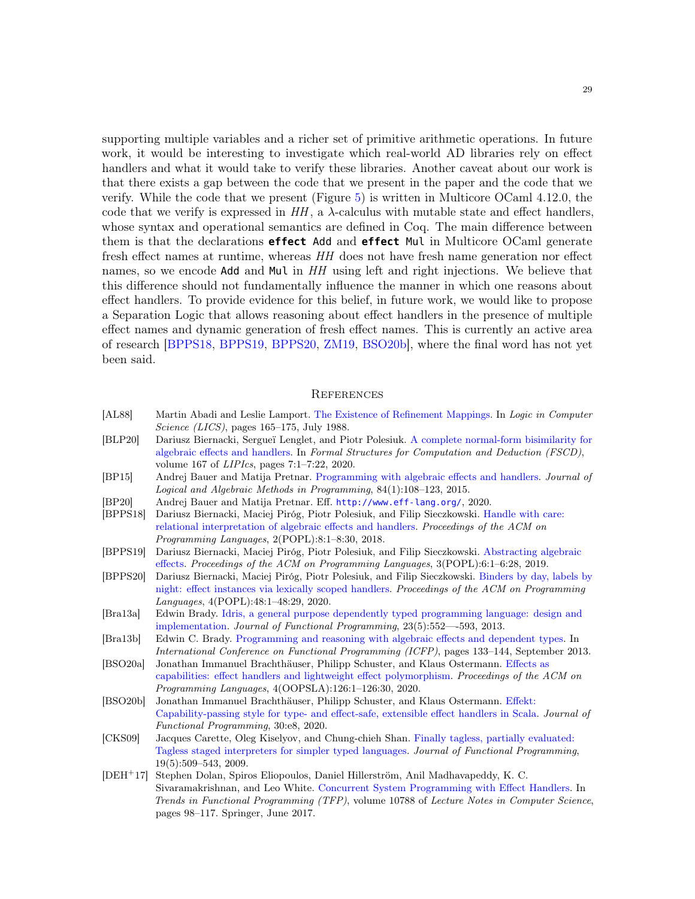supporting multiple variables and a richer set of primitive arithmetic operations. In future work, it would be interesting to investigate which real-world AD libraries rely on effect handlers and what it would take to verify these libraries. Another caveat about our work is that there exists a gap between the code that we present in the paper and the code that we verify. While the code that we present (Figure [5\)](#page-7-0) is written in Multicore OCaml 4.12.0, the code that we verify is expressed in  $HH$ , a  $\lambda$ -calculus with mutable state and effect handlers, whose syntax and operational semantics are defined in Coq. The main difference between them is that the declarations **effect** Add and **effect** Mul in Multicore OCaml generate fresh effect names at runtime, whereas HH does not have fresh name generation nor effect names, so we encode Add and Mul in HH using left and right injections. We believe that this difference should not fundamentally influence the manner in which one reasons about effect handlers. To provide evidence for this belief, in future work, we would like to propose a Separation Logic that allows reasoning about effect handlers in the presence of multiple effect names and dynamic generation of fresh effect names. This is currently an active area of research [\[BPPS18,](#page-28-9) [BPPS19,](#page-28-12) [BPPS20,](#page-28-10) [ZM19,](#page-30-15) [BSO20b\]](#page-28-5), where the final word has not yet been said.

#### **REFERENCES**

- <span id="page-28-11"></span>[AL88] Martin Abadi and Leslie Lamport. [The Existence of Refinement Mappings.](https://www.microsoft.com/en-us/research/publication/the-existence-of-refinement-mappings/) In Logic in Computer Science (LICS), pages 165–175, July 1988.
- <span id="page-28-8"></span>[BLP20] Dariusz Biernacki, Sergueï Lenglet, and Piotr Polesiuk. [A complete normal-form bisimilarity for](https://doi.org/10.4230/LIPICS.FSCD.2020.7) [algebraic effects and handlers.](https://doi.org/10.4230/LIPICS.FSCD.2020.7) In Formal Structures for Computation and Deduction (FSCD), volume 167 of LIPIcs, pages 7:1–7:22, 2020.
- <span id="page-28-1"></span>[BP15] Andrej Bauer and Matija Pretnar. [Programming with algebraic effects and handlers.](http://math.andrej.com/wp-content/uploads/2012/03/eff.pdf) Journal of Logical and Algebraic Methods in Programming, 84(1):108–123, 2015.
- <span id="page-28-2"></span>[BP20] Andrej Bauer and Matija Pretnar. Eff. <http://www.eff-lang.org/>, 2020.
- <span id="page-28-9"></span>[BPPS18] Dariusz Biernacki, Maciej Piróg, Piotr Polesiuk, and Filip Sieczkowski. [Handle with care:](https://doi.org/10.1145/3158096) [relational interpretation of algebraic effects and handlers.](https://doi.org/10.1145/3158096) Proceedings of the ACM on Programming Languages, 2(POPL):8:1–8:30, 2018.
- <span id="page-28-12"></span>[BPPS19] Dariusz Biernacki, Maciej Piróg, Piotr Polesiuk, and Filip Sieczkowski. [Abstracting algebraic](http://www.ii.uni.wroc.pl/~mpirog/papers/biernacki-al-popl19.pdf) [effects.](http://www.ii.uni.wroc.pl/~mpirog/papers/biernacki-al-popl19.pdf) Proceedings of the ACM on Programming Languages, 3(POPL):6:1–6:28, 2019.
- <span id="page-28-10"></span>[BPPS20] Dariusz Biernacki, Maciej Piróg, Piotr Polesiuk, and Filip Sieczkowski. [Binders by day, labels by](https://doi.org/10.1145/3371116) [night: effect instances via lexically scoped handlers.](https://doi.org/10.1145/3371116) Proceedings of the ACM on Programming Languages, 4(POPL):48:1–48:29, 2020.
- <span id="page-28-7"></span>[Bra13a] Edwin Brady. [Idris, a general purpose dependently typed programming language: design and](https://eb.host.cs.st-andrews.ac.uk/drafts/impldtp.pdf) [implementation.](https://eb.host.cs.st-andrews.ac.uk/drafts/impldtp.pdf) Journal of Functional Programming, 23(5):552—-593, 2013.
- <span id="page-28-6"></span>[Bra13b] Edwin C. Brady. [Programming and reasoning with algebraic effects and dependent types.](https://eb.host.cs.st-andrews.ac.uk/drafts/effects.pdf) In International Conference on Functional Programming (ICFP), pages 133–144, September 2013.
- <span id="page-28-3"></span>[BSO20a] Jonathan Immanuel Brachthäuser, Philipp Schuster, and Klaus Ostermann. [Effects as](https://doi.org/10.1145/3428194) [capabilities: effect handlers and lightweight effect polymorphism.](https://doi.org/10.1145/3428194) Proceedings of the ACM on Programming Languages, 4(OOPSLA):126:1–126:30, 2020.
- <span id="page-28-5"></span>[BSO20b] Jonathan Immanuel Brachthäuser, Philipp Schuster, and Klaus Ostermann. [Effekt:](http://ps.informatik.uni-tuebingen.de/publications/brachthaeuser19effekt-revision.pdf) [Capability-passing style for type- and effect-safe, extensible effect handlers in Scala.](http://ps.informatik.uni-tuebingen.de/publications/brachthaeuser19effekt-revision.pdf) Journal of Functional Programming, 30:e8, 2020.
- <span id="page-28-0"></span>[CKS09] Jacques Carette, Oleg Kiselyov, and Chung-chieh Shan. [Finally tagless, partially evaluated:](http://okmij.org/ftp/tagless-final/JFP.pdf) [Tagless staged interpreters for simpler typed languages.](http://okmij.org/ftp/tagless-final/JFP.pdf) Journal of Functional Programming, 19(5):509–543, 2009.
- <span id="page-28-4"></span>[DEH<sup>+</sup>17] Stephen Dolan, Spiros Eliopoulos, Daniel Hillerström, Anil Madhavapeddy, K. C. Sivaramakrishnan, and Leo White. [Concurrent System Programming with Effect Handlers.](http://kcsrk.info/papers/system_effects_feb_18.pdf) In Trends in Functional Programming (TFP), volume 10788 of Lecture Notes in Computer Science, pages 98–117. Springer, June 2017.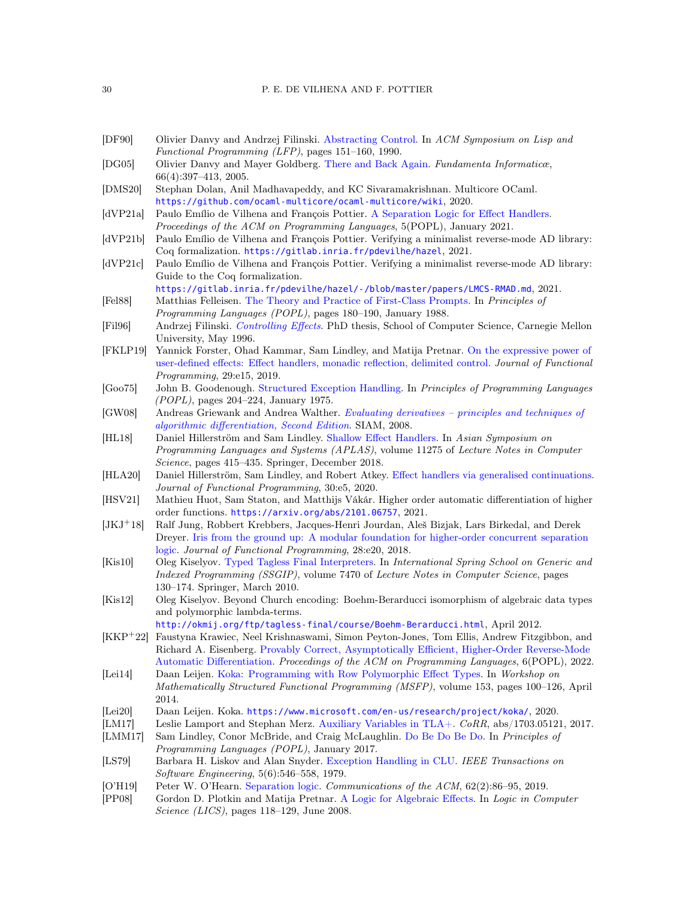#### 30 P. E. DE VILHENA AND F. POTTIER

- <span id="page-29-0"></span>[DF90] Olivier Danvy and Andrzej Filinski. [Abstracting Control.](https://doi.org/10.1145/91556.91622) In ACM Symposium on Lisp and Functional Programming (LFP), pages 151–160, 1990.
- <span id="page-29-16"></span>[DG05] Olivier Danvy and Mayer Goldberg. [There and Back Again.](https://www.brics.dk/RS/02/12/BRICS-RS-02-12.pdf) Fundamenta Informaticæ, 66(4):397–413, 2005.
- <span id="page-29-4"></span>[DMS20] Stephan Dolan, Anil Madhavapeddy, and KC Sivaramakrishnan. Multicore OCaml. <https://github.com/ocaml-multicore/ocaml-multicore/wiki>, 2020.
- <span id="page-29-2"></span>[dVP21a] Paulo Emílio de Vilhena and François Pottier. [A Separation Logic for Effect Handlers.](http://cambium.inria.fr/~fpottier/publis/de-vilhena-pottier-sleh.pdf) Proceedings of the ACM on Programming Languages, 5(POPL), January 2021.
- <span id="page-29-3"></span>[dVP21b] Paulo Emílio de Vilhena and François Pottier. Verifying a minimalist reverse-mode AD library: Coq formalization. <https://gitlab.inria.fr/pdevilhe/hazel>, 2021.
- <span id="page-29-5"></span>[dVP21c] Paulo Emílio de Vilhena and François Pottier. Verifying a minimalist reverse-mode AD library: Guide to the Coq formalization. <https://gitlab.inria.fr/pdevilhe/hazel/-/blob/master/papers/LMCS-RMAD.md>, 2021.
- <span id="page-29-10"></span>[Fel88] Matthias Felleisen. [The Theory and Practice of First-Class Prompts.](https://www.cs.tufts.edu/~nr/cs257/archive/matthias-felleisen/prompts.pdf) In Principles of Programming Languages (POPL), pages 180–190, January 1988.
- <span id="page-29-19"></span>[Fil96] Andrzej Filinski. [Controlling Effects](http://hjemmesider.diku.dk/~andrzej/papers/CE-abstract.html). PhD thesis, School of Computer Science, Carnegie Mellon University, May 1996.
- <span id="page-29-11"></span>[FKLP19] Yannick Forster, Ohad Kammar, Sam Lindley, and Matija Pretnar. [On the expressive power of](http://denotational.co.uk/publications/forster-kammar-lindley-pretnar-on-the-expressive-power-of-user-defined-effects-journal.pdf) [user-defined effects: Effect handlers, monadic reflection, delimited control.](http://denotational.co.uk/publications/forster-kammar-lindley-pretnar-on-the-expressive-power-of-user-defined-effects-journal.pdf) Journal of Functional Programming, 29:e15, 2019.
- <span id="page-29-18"></span>[Goo75] John B. Goodenough. [Structured Exception Handling.](https://doi.org/10.1145/512976.512997) In Principles of Programming Languages (POPL), pages 204–224, January 1975.
- <span id="page-29-6"></span>[GW08] Andreas Griewank and Andrea Walther. [Evaluating derivatives – principles and techniques of](https://doi.org/10.1137/1.9780898717761) [algorithmic differentiation, Second Edition](https://doi.org/10.1137/1.9780898717761). SIAM, 2008.
- <span id="page-29-22"></span>[HL18] Daniel Hillerström and Sam Lindley. [Shallow Effect Handlers.](http://homepages.inf.ed.ac.uk/slindley/papers/shallow-extended.pdf) In Asian Symposium on Programming Languages and Systems (APLAS), volume 11275 of Lecture Notes in Computer Science, pages 415–435. Springer, December 2018.
- <span id="page-29-15"></span>[HLA20] Daniel Hillerström, Sam Lindley, and Robert Atkey. [Effect handlers via generalised continuations.](https://www.dhil.net/research/papers/generalised_continuations-jfp-draft.pdf) Journal of Functional Programming, 30:e5, 2020.
- [HSV21] Mathieu Huot, Sam Staton, and Matthijs Vákár. Higher order automatic differentiation of higher order functions. <https://arxiv.org/abs/2101.06757>, 2021.
- <span id="page-29-1"></span>[JKJ<sup>+</sup>18] Ralf Jung, Robbert Krebbers, Jacques-Henri Jourdan, Aleš Bizjak, Lars Birkedal, and Derek Dreyer. [Iris from the ground up: A modular foundation for higher-order concurrent separation](https://people.mpi-sws.org/~dreyer/papers/iris-ground-up/paper.pdf) [logic.](https://people.mpi-sws.org/~dreyer/papers/iris-ground-up/paper.pdf) Journal of Functional Programming, 28:e20, 2018.
- <span id="page-29-8"></span>[Kis10] Oleg Kiselyov. [Typed Tagless Final Interpreters.](http://okmij.org/ftp/tagless-final/course/lecture.pdf) In International Spring School on Generic and Indexed Programming (SSGIP), volume 7470 of Lecture Notes in Computer Science, pages 130–174. Springer, March 2010.
- <span id="page-29-7"></span>[Kis12] Oleg Kiselyov. Beyond Church encoding: Boehm-Berarducci isomorphism of algebraic data types and polymorphic lambda-terms.

<http://okmij.org/ftp/tagless-final/course/Boehm-Berarducci.html>, April 2012.

- <span id="page-29-21"></span>[KKP<sup>+</sup>22] Faustyna Krawiec, Neel Krishnaswami, Simon Peyton-Jones, Tom Ellis, Andrew Fitzgibbon, and Richard A. Eisenberg. [Provably Correct, Asymptotically Efficient, Higher-Order Reverse-Mode](https://richarde.dev/papers/2022/ad/higher-order-ad.pdf) [Automatic Differentiation.](https://richarde.dev/papers/2022/ad/higher-order-ad.pdf) Proceedings of the ACM on Programming Languages, 6(POPL), 2022. [Lei14] Daan Leijen. [Koka: Programming with Row Polymorphic Effect Types.](https://www.microsoft.com/en-us/research/wp-content/uploads/2016/02/paper-20.pdf) In Workshop on
- <span id="page-29-13"></span>Mathematically Structured Functional Programming (MSFP), volume 153, pages 100–126, April 2014.
- <span id="page-29-14"></span>[Lei20] Daan Leijen. Koka. <https://www.microsoft.com/en-us/research/project/koka/>, 2020.
- <span id="page-29-23"></span>[LM17] Leslie Lamport and Stephan Merz. [Auxiliary Variables in TLA+.](http://arxiv.org/abs/1703.05121) CoRR, abs/1703.05121, 2017.
- <span id="page-29-12"></span>[LMM17] Sam Lindley, Conor McBride, and Craig McLaughlin. [Do Be Do Be Do.](http://homepages.inf.ed.ac.uk/slindley/papers/frankly.pdf) In Principles of Programming Languages (POPL), January 2017.
- <span id="page-29-9"></span>[LS79] Barbara H. Liskov and Alan Snyder. [Exception Handling in CLU.](https://www.cs.tufts.edu/~nr/cs257/archive/barbara-liskov/exceptions.pdf) IEEE Transactions on Software Engineering, 5(6):546–558, 1979.
- <span id="page-29-17"></span>[O'H19] Peter W. O'Hearn. [Separation logic.](https://doi.org/10.1145/3211968) Communications of the ACM, 62(2):86–95, 2019.
- <span id="page-29-20"></span>[PP08] Gordon D. Plotkin and Matija Pretnar. [A Logic for Algebraic Effects.](http://homepages.inf.ed.ac.uk/gdp/publications/Logic_Algebraic_Effects.pdf) In Logic in Computer Science (LICS), pages 118–129, June 2008.